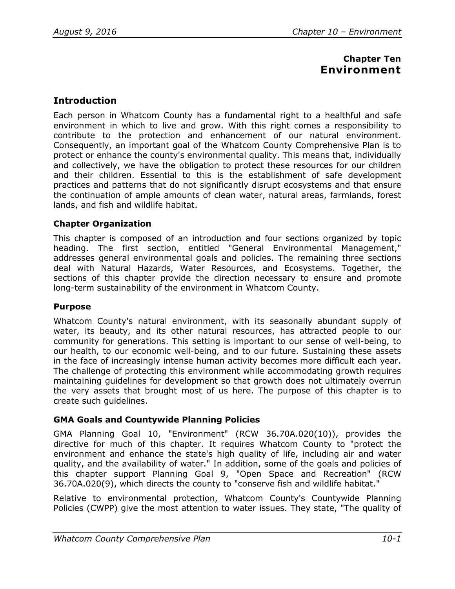# **Chapter Ten Environment**

# **Introduction**

Each person in Whatcom County has a fundamental right to a healthful and safe environment in which to live and grow. With this right comes a responsibility to contribute to the protection and enhancement of our natural environment. Consequently, an important goal of the Whatcom County Comprehensive Plan is to protect or enhance the county's environmental quality. This means that, individually and collectively, we have the obligation to protect these resources for our children and their children. Essential to this is the establishment of safe development practices and patterns that do not significantly disrupt ecosystems and that ensure the continuation of ample amounts of clean water, natural areas, farmlands, forest lands, and fish and wildlife habitat.

## **Chapter Organization**

This chapter is composed of an introduction and four sections organized by topic heading. The first section, entitled "General Environmental Management," addresses general environmental goals and policies. The remaining three sections deal with Natural Hazards, Water Resources, and Ecosystems. Together, the sections of this chapter provide the direction necessary to ensure and promote long-term sustainability of the environment in Whatcom County.

## **Purpose**

Whatcom County's natural environment, with its seasonally abundant supply of water, its beauty, and its other natural resources, has attracted people to our community for generations. This setting is important to our sense of well-being, to our health, to our economic well-being, and to our future. Sustaining these assets in the face of increasingly intense human activity becomes more difficult each year. The challenge of protecting this environment while accommodating growth requires maintaining guidelines for development so that growth does not ultimately overrun the very assets that brought most of us here. The purpose of this chapter is to create such guidelines.

# **GMA Goals and Countywide Planning Policies**

GMA Planning Goal 10, "Environment" (RCW 36.70A.020(10)), provides the directive for much of this chapter. It requires Whatcom County to "protect the environment and enhance the state's high quality of life, including air and water quality, and the availability of water." In addition, some of the goals and policies of this chapter support Planning Goal 9, "Open Space and Recreation" (RCW 36.70A.020(9), which directs the county to "conserve fish and wildlife habitat."

Relative to environmental protection, Whatcom County's Countywide Planning Policies (CWPP) give the most attention to water issues. They state, "The quality of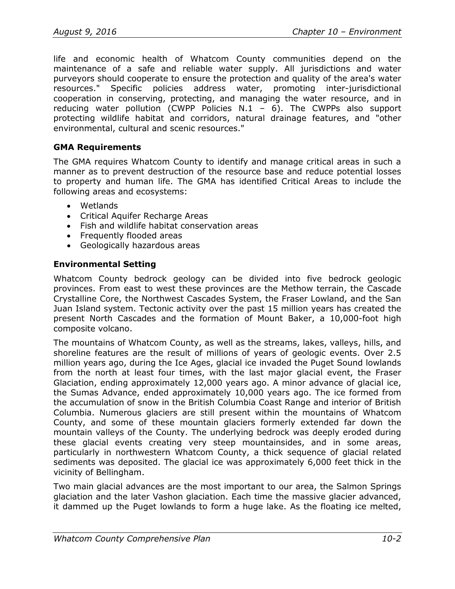life and economic health of Whatcom County communities depend on the maintenance of a safe and reliable water supply. All jurisdictions and water purveyors should cooperate to ensure the protection and quality of the area's water resources." Specific policies address water, promoting inter-jurisdictional cooperation in conserving, protecting, and managing the water resource, and in reducing water pollution (CWPP Policies  $N.1 - 6$ ). The CWPPs also support protecting wildlife habitat and corridors, natural drainage features, and "other environmental, cultural and scenic resources."

## **GMA Requirements**

The GMA requires Whatcom County to identify and manage critical areas in such a manner as to prevent destruction of the resource base and reduce potential losses to property and human life. The GMA has identified Critical Areas to include the following areas and ecosystems:

- Wetlands
- Critical Aquifer Recharge Areas
- Fish and wildlife habitat conservation areas
- Frequently flooded areas
- Geologically hazardous areas

# **Environmental Setting**

Whatcom County bedrock geology can be divided into five bedrock geologic provinces. From east to west these provinces are the Methow terrain, the Cascade Crystalline Core, the Northwest Cascades System, the Fraser Lowland, and the San Juan Island system. Tectonic activity over the past 15 million years has created the present North Cascades and the formation of Mount Baker, a 10,000-foot high composite volcano.

The mountains of Whatcom County, as well as the streams, lakes, valleys, hills, and shoreline features are the result of millions of years of geologic events. Over 2.5 million years ago, during the Ice Ages, glacial ice invaded the Puget Sound lowlands from the north at least four times, with the last major glacial event, the Fraser Glaciation, ending approximately 12,000 years ago. A minor advance of glacial ice, the Sumas Advance, ended approximately 10,000 years ago. The ice formed from the accumulation of snow in the British Columbia Coast Range and interior of British Columbia. Numerous glaciers are still present within the mountains of Whatcom County, and some of these mountain glaciers formerly extended far down the mountain valleys of the County. The underlying bedrock was deeply eroded during these glacial events creating very steep mountainsides, and in some areas, particularly in northwestern Whatcom County, a thick sequence of glacial related sediments was deposited. The glacial ice was approximately 6,000 feet thick in the vicinity of Bellingham.

Two main glacial advances are the most important to our area, the Salmon Springs glaciation and the later Vashon glaciation. Each time the massive glacier advanced, it dammed up the Puget lowlands to form a huge lake. As the floating ice melted,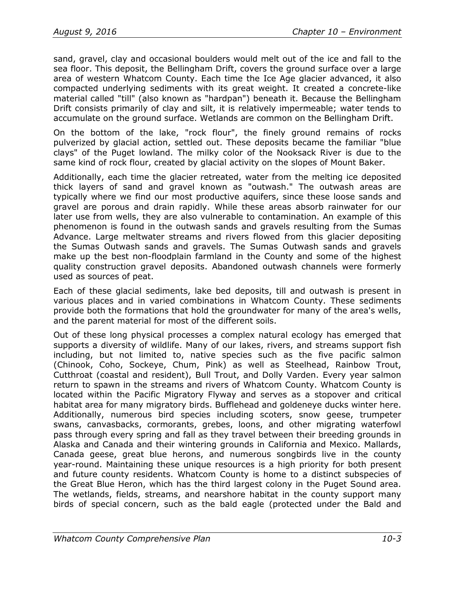sand, gravel, clay and occasional boulders would melt out of the ice and fall to the sea floor. This deposit, the Bellingham Drift, covers the ground surface over a large area of western Whatcom County. Each time the Ice Age glacier advanced, it also compacted underlying sediments with its great weight. It created a concrete-like material called "till" (also known as "hardpan") beneath it. Because the Bellingham Drift consists primarily of clay and silt, it is relatively impermeable; water tends to accumulate on the ground surface. Wetlands are common on the Bellingham Drift.

On the bottom of the lake, "rock flour", the finely ground remains of rocks pulverized by glacial action, settled out. These deposits became the familiar "blue clays" of the Puget lowland. The milky color of the Nooksack River is due to the same kind of rock flour, created by glacial activity on the slopes of Mount Baker.

Additionally, each time the glacier retreated, water from the melting ice deposited thick layers of sand and gravel known as "outwash." The outwash areas are typically where we find our most productive aquifers, since these loose sands and gravel are porous and drain rapidly. While these areas absorb rainwater for our later use from wells, they are also vulnerable to contamination. An example of this phenomenon is found in the outwash sands and gravels resulting from the Sumas Advance. Large meltwater streams and rivers flowed from this glacier depositing the Sumas Outwash sands and gravels. The Sumas Outwash sands and gravels make up the best non-floodplain farmland in the County and some of the highest quality construction gravel deposits. Abandoned outwash channels were formerly used as sources of peat.

Each of these glacial sediments, lake bed deposits, till and outwash is present in various places and in varied combinations in Whatcom County. These sediments provide both the formations that hold the groundwater for many of the area's wells, and the parent material for most of the different soils.

Out of these long physical processes a complex natural ecology has emerged that supports a diversity of wildlife. Many of our lakes, rivers, and streams support fish including, but not limited to, native species such as the five pacific salmon (Chinook, Coho, Sockeye, Chum, Pink) as well as Steelhead, Rainbow Trout, Cutthroat (coastal and resident), Bull Trout, and Dolly Varden. Every year salmon return to spawn in the streams and rivers of Whatcom County. Whatcom County is located within the Pacific Migratory Flyway and serves as a stopover and critical habitat area for many migratory birds. Bufflehead and goldeneye ducks winter here. Additionally, numerous bird species including scoters, snow geese, trumpeter swans, canvasbacks, cormorants, grebes, loons, and other migrating waterfowl pass through every spring and fall as they travel between their breeding grounds in Alaska and Canada and their wintering grounds in California and Mexico. Mallards, Canada geese, great blue herons, and numerous songbirds live in the county year-round. Maintaining these unique resources is a high priority for both present and future county residents. Whatcom County is home to a distinct subspecies of the Great Blue Heron, which has the third largest colony in the Puget Sound area. The wetlands, fields, streams, and nearshore habitat in the county support many birds of special concern, such as the bald eagle (protected under the Bald and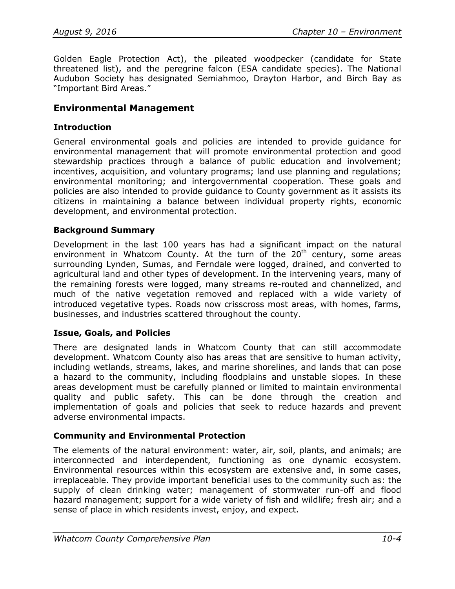Golden Eagle Protection Act), the pileated woodpecker (candidate for State threatened list), and the peregrine falcon (ESA candidate species). The National Audubon Society has designated Semiahmoo, Drayton Harbor, and Birch Bay as "Important Bird Areas."

## **Environmental Management**

### **Introduction**

General environmental goals and policies are intended to provide guidance for environmental management that will promote environmental protection and good stewardship practices through a balance of public education and involvement; incentives, acquisition, and voluntary programs; land use planning and regulations; environmental monitoring; and intergovernmental cooperation. These goals and policies are also intended to provide guidance to County government as it assists its citizens in maintaining a balance between individual property rights, economic development, and environmental protection.

#### **Background Summary**

Development in the last 100 years has had a significant impact on the natural environment in Whatcom County. At the turn of the  $20<sup>th</sup>$  century, some areas surrounding Lynden, Sumas, and Ferndale were logged, drained, and converted to agricultural land and other types of development. In the intervening years, many of the remaining forests were logged, many streams re-routed and channelized, and much of the native vegetation removed and replaced with a wide variety of introduced vegetative types. Roads now crisscross most areas, with homes, farms, businesses, and industries scattered throughout the county.

## **Issue, Goals, and Policies**

There are designated lands in Whatcom County that can still accommodate development. Whatcom County also has areas that are sensitive to human activity, including wetlands, streams, lakes, and marine shorelines, and lands that can pose a hazard to the community, including floodplains and unstable slopes. In these areas development must be carefully planned or limited to maintain environmental quality and public safety. This can be done through the creation and implementation of goals and policies that seek to reduce hazards and prevent adverse environmental impacts.

## **Community and Environmental Protection**

The elements of the natural environment: water, air, soil, plants, and animals; are interconnected and interdependent, functioning as one dynamic ecosystem. Environmental resources within this ecosystem are extensive and, in some cases, irreplaceable. They provide important beneficial uses to the community such as: the supply of clean drinking water; management of stormwater run-off and flood hazard management; support for a wide variety of fish and wildlife; fresh air; and a sense of place in which residents invest, enjoy, and expect.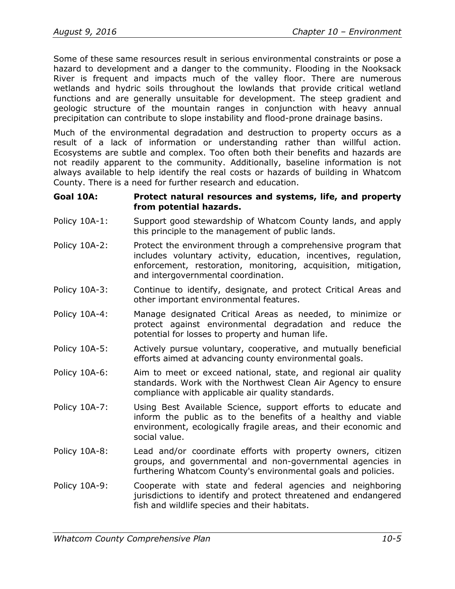Some of these same resources result in serious environmental constraints or pose a hazard to development and a danger to the community. Flooding in the Nooksack River is frequent and impacts much of the valley floor. There are numerous wetlands and hydric soils throughout the lowlands that provide critical wetland functions and are generally unsuitable for development. The steep gradient and geologic structure of the mountain ranges in conjunction with heavy annual precipitation can contribute to slope instability and flood-prone drainage basins.

Much of the environmental degradation and destruction to property occurs as a result of a lack of information or understanding rather than willful action. Ecosystems are subtle and complex. Too often both their benefits and hazards are not readily apparent to the community. Additionally, baseline information is not always available to help identify the real costs or hazards of building in Whatcom County. There is a need for further research and education.

#### **Goal 10A: Protect natural resources and systems, life, and property from potential hazards.**

- Policy 10A-1: Support good stewardship of Whatcom County lands, and apply this principle to the management of public lands.
- Policy 10A-2: Protect the environment through a comprehensive program that includes voluntary activity, education, incentives, regulation, enforcement, restoration, monitoring, acquisition, mitigation, and intergovernmental coordination.
- Policy 10A-3: Continue to identify, designate, and protect Critical Areas and other important environmental features.
- Policy 10A-4: Manage designated Critical Areas as needed, to minimize or protect against environmental degradation and reduce the potential for losses to property and human life.
- Policy 10A-5: Actively pursue voluntary, cooperative, and mutually beneficial efforts aimed at advancing county environmental goals.
- Policy 10A-6: Aim to meet or exceed national, state, and regional air quality standards. Work with the Northwest Clean Air Agency to ensure compliance with applicable air quality standards.
- Policy 10A-7: Using Best Available Science, support efforts to educate and inform the public as to the benefits of a healthy and viable environment, ecologically fragile areas, and their economic and social value.
- Policy 10A-8: Lead and/or coordinate efforts with property owners, citizen groups, and governmental and non-governmental agencies in furthering Whatcom County's environmental goals and policies.
- Policy 10A-9: Cooperate with state and federal agencies and neighboring jurisdictions to identify and protect threatened and endangered fish and wildlife species and their habitats.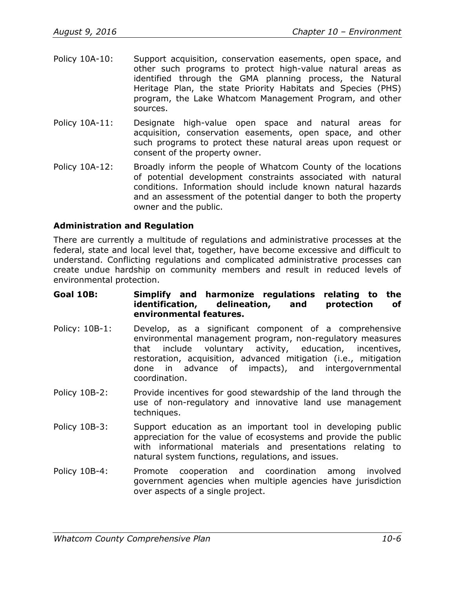- Policy 10A-10: Support acquisition, conservation easements, open space, and other such programs to protect high-value natural areas as identified through the GMA planning process, the Natural Heritage Plan, the state Priority Habitats and Species (PHS) program, the Lake Whatcom Management Program, and other sources.
- Policy 10A-11: Designate high-value open space and natural areas for acquisition, conservation easements, open space, and other such programs to protect these natural areas upon request or consent of the property owner.
- Policy 10A-12: Broadly inform the people of Whatcom County of the locations of potential development constraints associated with natural conditions. Information should include known natural hazards and an assessment of the potential danger to both the property owner and the public.

## **Administration and Regulation**

There are currently a multitude of regulations and administrative processes at the federal, state and local level that, together, have become excessive and difficult to understand. Conflicting regulations and complicated administrative processes can create undue hardship on community members and result in reduced levels of environmental protection.

#### **Goal 10B: Simplify and harmonize regulations relating to the identification, delineation, and protection of environmental features.**

- Policy: 10B-1: Develop, as a significant component of a comprehensive environmental management program, non-regulatory measures that include voluntary activity, education, incentives, restoration, acquisition, advanced mitigation (i.e., mitigation done in advance of impacts), and intergovernmental coordination.
- Policy 10B-2: Provide incentives for good stewardship of the land through the use of non-regulatory and innovative land use management techniques.
- Policy 10B-3: Support education as an important tool in developing public appreciation for the value of ecosystems and provide the public with informational materials and presentations relating to natural system functions, regulations, and issues.
- Policy 10B-4: Promote cooperation and coordination among involved government agencies when multiple agencies have jurisdiction over aspects of a single project.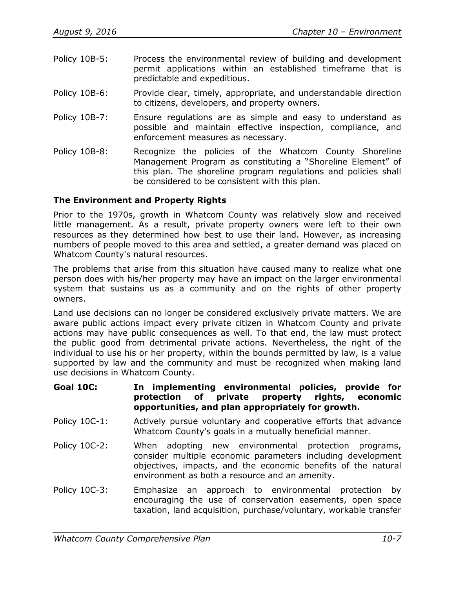- Policy 10B-5: Process the environmental review of building and development permit applications within an established timeframe that is predictable and expeditious.
- Policy 10B-6: Provide clear, timely, appropriate, and understandable direction to citizens, developers, and property owners.
- Policy 10B-7: Ensure regulations are as simple and easy to understand as possible and maintain effective inspection, compliance, and enforcement measures as necessary.
- Policy 10B-8: Recognize the policies of the Whatcom County Shoreline Management Program as constituting a "Shoreline Element" of this plan. The shoreline program regulations and policies shall be considered to be consistent with this plan.

## **The Environment and Property Rights**

Prior to the 1970s, growth in Whatcom County was relatively slow and received little management. As a result, private property owners were left to their own resources as they determined how best to use their land. However, as increasing numbers of people moved to this area and settled, a greater demand was placed on Whatcom County's natural resources.

The problems that arise from this situation have caused many to realize what one person does with his/her property may have an impact on the larger environmental system that sustains us as a community and on the rights of other property owners.

Land use decisions can no longer be considered exclusively private matters. We are aware public actions impact every private citizen in Whatcom County and private actions may have public consequences as well. To that end, the law must protect the public good from detrimental private actions. Nevertheless, the right of the individual to use his or her property, within the bounds permitted by law, is a value supported by law and the community and must be recognized when making land use decisions in Whatcom County.

- **Goal 10C: In implementing environmental policies, provide for protection of private property rights, economic opportunities, and plan appropriately for growth.**
- Policy 10C-1: Actively pursue voluntary and cooperative efforts that advance Whatcom County's goals in a mutually beneficial manner.
- Policy 10C-2: When adopting new environmental protection programs, consider multiple economic parameters including development objectives, impacts, and the economic benefits of the natural environment as both a resource and an amenity.
- Policy 10C-3: Emphasize an approach to environmental protection by encouraging the use of conservation easements, open space taxation, land acquisition, purchase/voluntary, workable transfer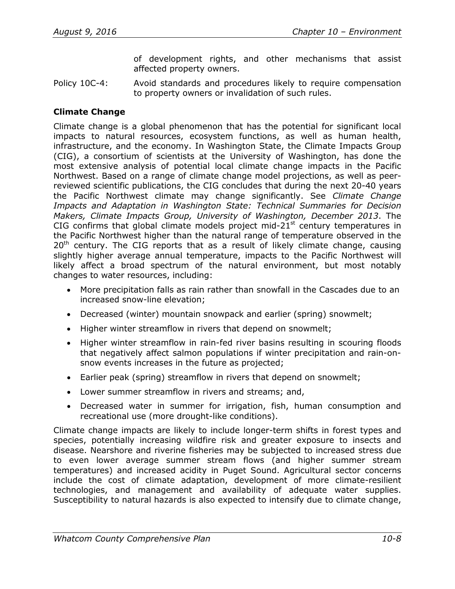of development rights, and other mechanisms that assist affected property owners.

Policy 10C-4: Avoid standards and procedures likely to require compensation to property owners or invalidation of such rules.

## **Climate Change**

Climate change is a global phenomenon that has the potential for significant local impacts to natural resources, ecosystem functions, as well as human health, infrastructure, and the economy. In Washington State, the Climate Impacts Group (CIG), a consortium of scientists at the University of Washington, has done the most extensive analysis of potential local climate change impacts in the Pacific Northwest. Based on a range of climate change model projections, as well as peerreviewed scientific publications, the CIG concludes that during the next 20-40 years the Pacific Northwest climate may change significantly. See *Climate Change Impacts and Adaptation in Washington State: Technical Summaries for Decision Makers, Climate Impacts Group, University of Washington, December 2013*. The CIG confirms that global climate models project mid-21 $<sup>st</sup>$  century temperatures in</sup> the Pacific Northwest higher than the natural range of temperature observed in the  $20<sup>th</sup>$  century. The CIG reports that as a result of likely climate change, causing slightly higher average annual temperature, impacts to the Pacific Northwest will likely affect a broad spectrum of the natural environment, but most notably changes to water resources, including:

- More precipitation falls as rain rather than snowfall in the Cascades due to an increased snow-line elevation;
- Decreased (winter) mountain snowpack and earlier (spring) snowmelt;
- Higher winter streamflow in rivers that depend on snowmelt;
- Higher winter streamflow in rain-fed river basins resulting in scouring floods that negatively affect salmon populations if winter precipitation and rain-onsnow events increases in the future as projected;
- Earlier peak (spring) streamflow in rivers that depend on snowmelt;
- Lower summer streamflow in rivers and streams; and,
- Decreased water in summer for irrigation, fish, human consumption and recreational use (more drought-like conditions).

Climate change impacts are likely to include longer-term shifts in forest types and species, potentially increasing wildfire risk and greater exposure to insects and disease. Nearshore and riverine fisheries may be subjected to increased stress due to even lower average summer stream flows (and higher summer stream temperatures) and increased acidity in Puget Sound. Agricultural sector concerns include the cost of climate adaptation, development of more climate-resilient technologies, and management and availability of adequate water supplies. Susceptibility to natural hazards is also expected to intensify due to climate change,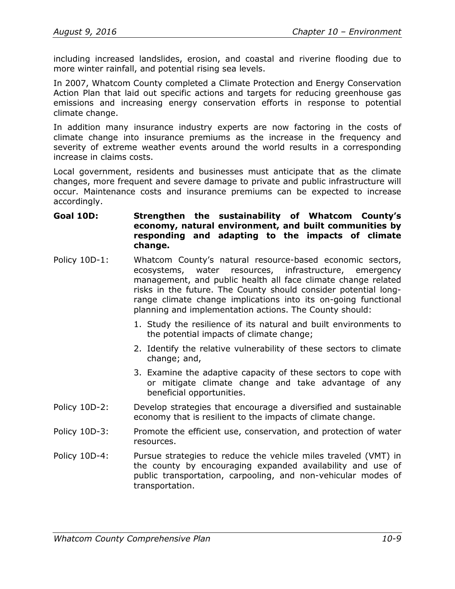including increased landslides, erosion, and coastal and riverine flooding due to more winter rainfall, and potential rising sea levels.

In 2007, Whatcom County completed a Climate Protection and Energy Conservation Action Plan that laid out specific actions and targets for reducing greenhouse gas emissions and increasing energy conservation efforts in response to potential climate change.

In addition many insurance industry experts are now factoring in the costs of climate change into insurance premiums as the increase in the frequency and severity of extreme weather events around the world results in a corresponding increase in claims costs.

Local government, residents and businesses must anticipate that as the climate changes, more frequent and severe damage to private and public infrastructure will occur. Maintenance costs and insurance premiums can be expected to increase accordingly.

## **Goal 10D: Strengthen the sustainability of Whatcom County's economy, natural environment, and built communities by responding and adapting to the impacts of climate change.**

- Policy 10D-1: Whatcom County's natural resource-based economic sectors, ecosystems, water resources, infrastructure, emergency management, and public health all face climate change related risks in the future. The County should consider potential longrange climate change implications into its on-going functional planning and implementation actions. The County should:
	- 1. Study the resilience of its natural and built environments to the potential impacts of climate change;
	- 2. Identify the relative vulnerability of these sectors to climate change; and,
	- 3. Examine the adaptive capacity of these sectors to cope with or mitigate climate change and take advantage of any beneficial opportunities.
- Policy 10D-2: Develop strategies that encourage a diversified and sustainable economy that is resilient to the impacts of climate change.
- Policy 10D-3: Promote the efficient use, conservation, and protection of water resources.
- Policy 10D-4: Pursue strategies to reduce the vehicle miles traveled (VMT) in the county by encouraging expanded availability and use of public transportation, carpooling, and non-vehicular modes of transportation.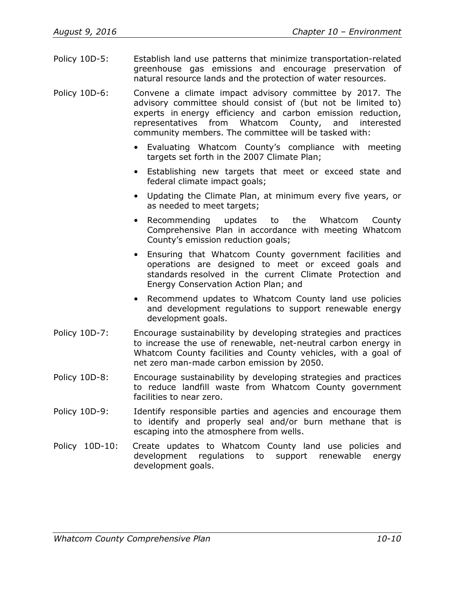Policy 10D-5: Establish land use patterns that minimize transportation-related greenhouse gas emissions and encourage preservation of natural resource lands and the protection of water resources.

Policy 10D-6: Convene a climate impact advisory committee by 2017. The advisory committee should consist of (but not be limited to) experts in energy efficiency and carbon emission reduction, representatives from Whatcom County, and interested community members. The committee will be tasked with:

- Evaluating Whatcom County's compliance with meeting targets set forth in the 2007 Climate Plan;
- Establishing new targets that meet or exceed state and federal climate impact goals;
- Updating the Climate Plan, at minimum every five years, or as needed to meet targets;
- Recommending updates to the Whatcom County Comprehensive Plan in accordance with meeting Whatcom County's emission reduction goals;
- Ensuring that Whatcom County government facilities and operations are designed to meet or exceed goals and standards resolved in the current Climate Protection and Energy Conservation Action Plan; and
- Recommend updates to Whatcom County land use policies and development regulations to support renewable energy development goals.
- Policy 10D-7: Encourage sustainability by developing strategies and practices to increase the use of renewable, net-neutral carbon energy in Whatcom County facilities and County vehicles, with a goal of net zero man-made carbon emission by 2050.
- Policy 10D-8: Encourage sustainability by developing strategies and practices to reduce landfill waste from Whatcom County government facilities to near zero.
- Policy 10D-9: Identify responsible parties and agencies and encourage them to identify and properly seal and/or burn methane that is escaping into the atmosphere from wells.
- Policy 10D-10: Create updates to Whatcom County land use policies and development regulations to support renewable energy development goals.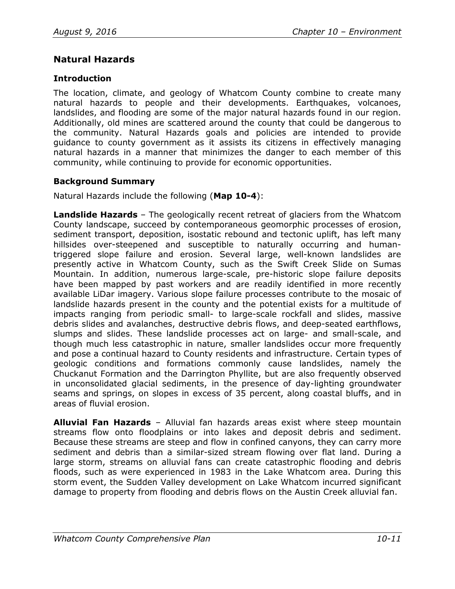# **Natural Hazards**

## **Introduction**

The location, climate, and geology of Whatcom County combine to create many natural hazards to people and their developments. Earthquakes, volcanoes, landslides, and flooding are some of the major natural hazards found in our region. Additionally, old mines are scattered around the county that could be dangerous to the community. Natural Hazards goals and policies are intended to provide guidance to county government as it assists its citizens in effectively managing natural hazards in a manner that minimizes the danger to each member of this community, while continuing to provide for economic opportunities.

## **Background Summary**

Natural Hazards include the following (**Map 10-4**):

**Landslide Hazards** – The geologically recent retreat of glaciers from the Whatcom County landscape, succeed by contemporaneous geomorphic processes of erosion, sediment transport, deposition, isostatic rebound and tectonic uplift, has left many hillsides over-steepened and susceptible to naturally occurring and humantriggered slope failure and erosion. Several large, well-known landslides are presently active in Whatcom County, such as the Swift Creek Slide on Sumas Mountain. In addition, numerous large-scale, pre-historic slope failure deposits have been mapped by past workers and are readily identified in more recently available LiDar imagery. Various slope failure processes contribute to the mosaic of landslide hazards present in the county and the potential exists for a multitude of impacts ranging from periodic small- to large-scale rockfall and slides, massive debris slides and avalanches, destructive debris flows, and deep-seated earthflows, slumps and slides. These landslide processes act on large- and small-scale, and though much less catastrophic in nature, smaller landslides occur more frequently and pose a continual hazard to County residents and infrastructure. Certain types of geologic conditions and formations commonly cause landslides, namely the Chuckanut Formation and the Darrington Phyllite, but are also frequently observed in unconsolidated glacial sediments, in the presence of day-lighting groundwater seams and springs, on slopes in excess of 35 percent, along coastal bluffs, and in areas of fluvial erosion.

**Alluvial Fan Hazards** – Alluvial fan hazards areas exist where steep mountain streams flow onto floodplains or into lakes and deposit debris and sediment. Because these streams are steep and flow in confined canyons, they can carry more sediment and debris than a similar-sized stream flowing over flat land. During a large storm, streams on alluvial fans can create catastrophic flooding and debris floods, such as were experienced in 1983 in the Lake Whatcom area. During this storm event, the Sudden Valley development on Lake Whatcom incurred significant damage to property from flooding and debris flows on the Austin Creek alluvial fan.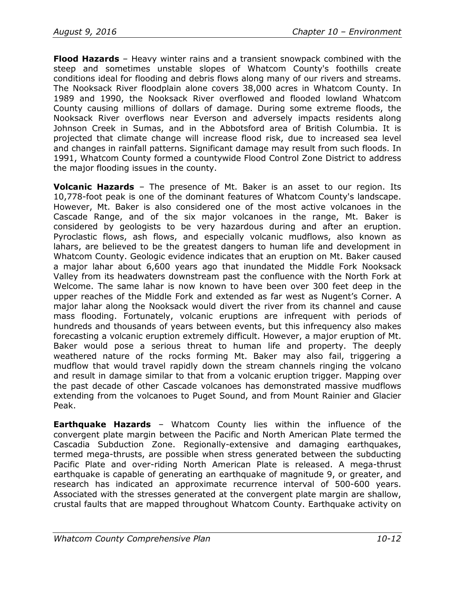**Flood Hazards** – Heavy winter rains and a transient snowpack combined with the steep and sometimes unstable slopes of Whatcom County's foothills create conditions ideal for flooding and debris flows along many of our rivers and streams. The Nooksack River floodplain alone covers 38,000 acres in Whatcom County. In 1989 and 1990, the Nooksack River overflowed and flooded lowland Whatcom County causing millions of dollars of damage. During some extreme floods, the Nooksack River overflows near Everson and adversely impacts residents along Johnson Creek in Sumas, and in the Abbotsford area of British Columbia. It is projected that climate change will increase flood risk, due to increased sea level and changes in rainfall patterns. Significant damage may result from such floods. In 1991, Whatcom County formed a countywide Flood Control Zone District to address the major flooding issues in the county.

**Volcanic Hazards** – The presence of Mt. Baker is an asset to our region. Its 10,778-foot peak is one of the dominant features of Whatcom County's landscape. However, Mt. Baker is also considered one of the most active volcanoes in the Cascade Range, and of the six major volcanoes in the range, Mt. Baker is considered by geologists to be very hazardous during and after an eruption. Pyroclastic flows, ash flows, and especially volcanic mudflows, also known as lahars, are believed to be the greatest dangers to human life and development in Whatcom County. Geologic evidence indicates that an eruption on Mt. Baker caused a major lahar about 6,600 years ago that inundated the Middle Fork Nooksack Valley from its headwaters downstream past the confluence with the North Fork at Welcome. The same lahar is now known to have been over 300 feet deep in the upper reaches of the Middle Fork and extended as far west as Nugent's Corner. A major lahar along the Nooksack would divert the river from its channel and cause mass flooding. Fortunately, volcanic eruptions are infrequent with periods of hundreds and thousands of years between events, but this infrequency also makes forecasting a volcanic eruption extremely difficult. However, a major eruption of Mt. Baker would pose a serious threat to human life and property. The deeply weathered nature of the rocks forming Mt. Baker may also fail, triggering a mudflow that would travel rapidly down the stream channels ringing the volcano and result in damage similar to that from a volcanic eruption trigger. Mapping over the past decade of other Cascade volcanoes has demonstrated massive mudflows extending from the volcanoes to Puget Sound, and from Mount Rainier and Glacier Peak.

**Earthquake Hazards** – Whatcom County lies within the influence of the convergent plate margin between the Pacific and North American Plate termed the Cascadia Subduction Zone. Regionally-extensive and damaging earthquakes, termed mega-thrusts, are possible when stress generated between the subducting Pacific Plate and over-riding North American Plate is released. A mega-thrust earthquake is capable of generating an earthquake of magnitude 9, or greater, and research has indicated an approximate recurrence interval of 500-600 years. Associated with the stresses generated at the convergent plate margin are shallow, crustal faults that are mapped throughout Whatcom County. Earthquake activity on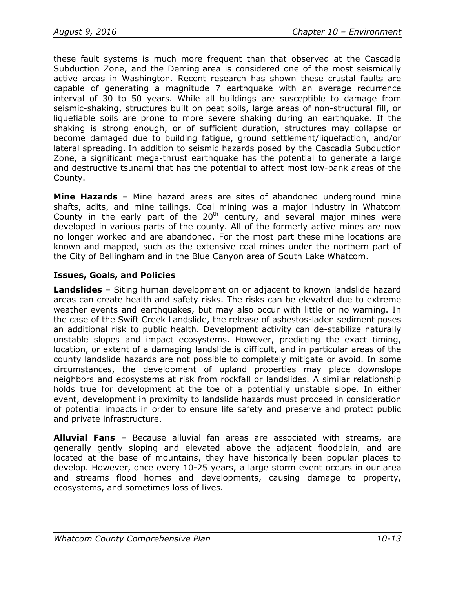these fault systems is much more frequent than that observed at the Cascadia Subduction Zone, and the Deming area is considered one of the most seismically active areas in Washington. Recent research has shown these crustal faults are capable of generating a magnitude 7 earthquake with an average recurrence interval of 30 to 50 years. While all buildings are susceptible to damage from seismic-shaking, structures built on peat soils, large areas of non-structural fill, or liquefiable soils are prone to more severe shaking during an earthquake. If the shaking is strong enough, or of sufficient duration, structures may collapse or become damaged due to building fatigue, ground settlement/liquefaction, and/or lateral spreading. In addition to seismic hazards posed by the Cascadia Subduction Zone, a significant mega-thrust earthquake has the potential to generate a large and destructive tsunami that has the potential to affect most low-bank areas of the County.

**Mine Hazards** – Mine hazard areas are sites of abandoned underground mine shafts, adits, and mine tailings. Coal mining was a major industry in Whatcom County in the early part of the  $20<sup>th</sup>$  century, and several major mines were developed in various parts of the county. All of the formerly active mines are now no longer worked and are abandoned. For the most part these mine locations are known and mapped, such as the extensive coal mines under the northern part of the City of Bellingham and in the Blue Canyon area of South Lake Whatcom.

## **Issues, Goals, and Policies**

**Landslides** – Siting human development on or adjacent to known landslide hazard areas can create health and safety risks. The risks can be elevated due to extreme weather events and earthquakes, but may also occur with little or no warning. In the case of the Swift Creek Landslide, the release of asbestos-laden sediment poses an additional risk to public health. Development activity can de-stabilize naturally unstable slopes and impact ecosystems. However, predicting the exact timing, location, or extent of a damaging landslide is difficult, and in particular areas of the county landslide hazards are not possible to completely mitigate or avoid. In some circumstances, the development of upland properties may place downslope neighbors and ecosystems at risk from rockfall or landslides. A similar relationship holds true for development at the toe of a potentially unstable slope. In either event, development in proximity to landslide hazards must proceed in consideration of potential impacts in order to ensure life safety and preserve and protect public and private infrastructure.

**Alluvial Fans** – Because alluvial fan areas are associated with streams, are generally gently sloping and elevated above the adjacent floodplain, and are located at the base of mountains, they have historically been popular places to develop. However, once every 10-25 years, a large storm event occurs in our area and streams flood homes and developments, causing damage to property, ecosystems, and sometimes loss of lives.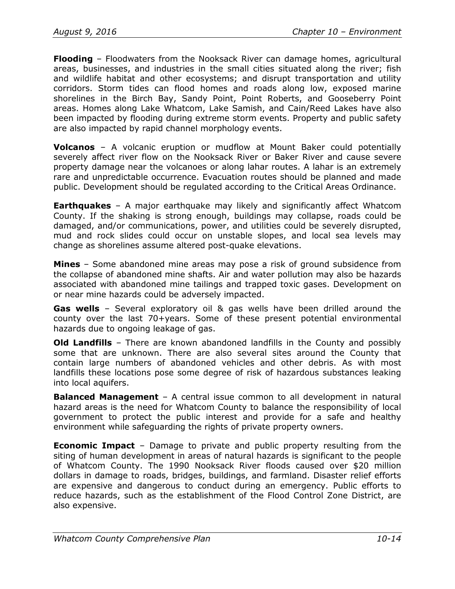**Flooding** – Floodwaters from the Nooksack River can damage homes, agricultural areas, businesses, and industries in the small cities situated along the river; fish and wildlife habitat and other ecosystems; and disrupt transportation and utility corridors. Storm tides can flood homes and roads along low, exposed marine shorelines in the Birch Bay, Sandy Point, Point Roberts, and Gooseberry Point areas. Homes along Lake Whatcom, Lake Samish, and Cain/Reed Lakes have also been impacted by flooding during extreme storm events. Property and public safety are also impacted by rapid channel morphology events.

**Volcanos** – A volcanic eruption or mudflow at Mount Baker could potentially severely affect river flow on the Nooksack River or Baker River and cause severe property damage near the volcanoes or along lahar routes. A lahar is an extremely rare and unpredictable occurrence. Evacuation routes should be planned and made public. Development should be regulated according to the Critical Areas Ordinance.

**Earthquakes** – A major earthquake may likely and significantly affect Whatcom County. If the shaking is strong enough, buildings may collapse, roads could be damaged, and/or communications, power, and utilities could be severely disrupted, mud and rock slides could occur on unstable slopes, and local sea levels may change as shorelines assume altered post-quake elevations.

**Mines** – Some abandoned mine areas may pose a risk of ground subsidence from the collapse of abandoned mine shafts. Air and water pollution may also be hazards associated with abandoned mine tailings and trapped toxic gases. Development on or near mine hazards could be adversely impacted.

**Gas wells** – Several exploratory oil & gas wells have been drilled around the county over the last 70+years. Some of these present potential environmental hazards due to ongoing leakage of gas.

**Old Landfills** – There are known abandoned landfills in the County and possibly some that are unknown. There are also several sites around the County that contain large numbers of abandoned vehicles and other debris. As with most landfills these locations pose some degree of risk of hazardous substances leaking into local aquifers.

**Balanced Management** – A central issue common to all development in natural hazard areas is the need for Whatcom County to balance the responsibility of local government to protect the public interest and provide for a safe and healthy environment while safeguarding the rights of private property owners.

**Economic Impact** – Damage to private and public property resulting from the siting of human development in areas of natural hazards is significant to the people of Whatcom County. The 1990 Nooksack River floods caused over \$20 million dollars in damage to roads, bridges, buildings, and farmland. Disaster relief efforts are expensive and dangerous to conduct during an emergency. Public efforts to reduce hazards, such as the establishment of the Flood Control Zone District, are also expensive.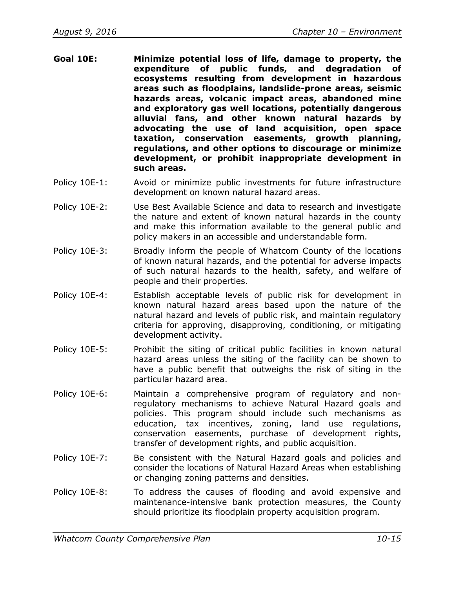- **Goal 10E: Minimize potential loss of life, damage to property, the expenditure of public funds, and degradation of ecosystems resulting from development in hazardous areas such as floodplains, landslide-prone areas, seismic hazards areas, volcanic impact areas, abandoned mine and exploratory gas well locations, potentially dangerous alluvial fans, and other known natural hazards by advocating the use of land acquisition, open space taxation, conservation easements, growth planning, regulations, and other options to discourage or minimize development, or prohibit inappropriate development in such areas.**
- Policy 10E-1: Avoid or minimize public investments for future infrastructure development on known natural hazard areas.
- Policy 10E-2: Use Best Available Science and data to research and investigate the nature and extent of known natural hazards in the county and make this information available to the general public and policy makers in an accessible and understandable form.
- Policy 10E-3: Broadly inform the people of Whatcom County of the locations of known natural hazards, and the potential for adverse impacts of such natural hazards to the health, safety, and welfare of people and their properties.
- Policy 10E-4: Establish acceptable levels of public risk for development in known natural hazard areas based upon the nature of the natural hazard and levels of public risk, and maintain regulatory criteria for approving, disapproving, conditioning, or mitigating development activity.
- Policy 10E-5: Prohibit the siting of critical public facilities in known natural hazard areas unless the siting of the facility can be shown to have a public benefit that outweighs the risk of siting in the particular hazard area.
- Policy 10E-6: Maintain a comprehensive program of regulatory and nonregulatory mechanisms to achieve Natural Hazard goals and policies. This program should include such mechanisms as education, tax incentives, zoning, land use regulations, conservation easements, purchase of development rights, transfer of development rights, and public acquisition.
- Policy 10E-7: Be consistent with the Natural Hazard goals and policies and consider the locations of Natural Hazard Areas when establishing or changing zoning patterns and densities.
- Policy 10E-8: To address the causes of flooding and avoid expensive and maintenance-intensive bank protection measures, the County should prioritize its floodplain property acquisition program.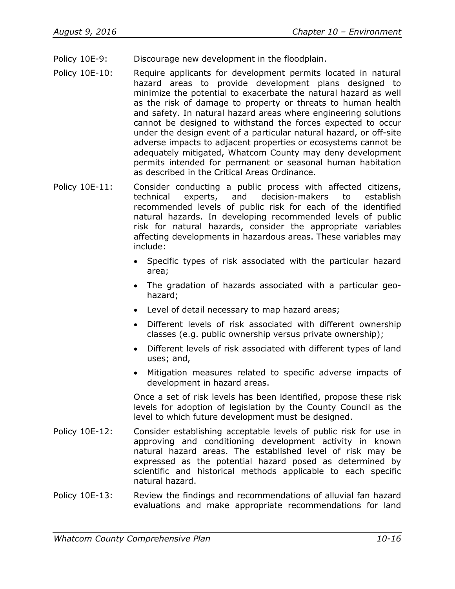- Policy 10E-9: Discourage new development in the floodplain.
- Policy 10E-10: Require applicants for development permits located in natural hazard areas to provide development plans designed to minimize the potential to exacerbate the natural hazard as well as the risk of damage to property or threats to human health and safety. In natural hazard areas where engineering solutions cannot be designed to withstand the forces expected to occur under the design event of a particular natural hazard, or off-site adverse impacts to adjacent properties or ecosystems cannot be adequately mitigated, Whatcom County may deny development permits intended for permanent or seasonal human habitation as described in the Critical Areas Ordinance.
- Policy 10E-11: Consider conducting a public process with affected citizens, technical experts, and decision-makers to establish recommended levels of public risk for each of the identified natural hazards. In developing recommended levels of public risk for natural hazards, consider the appropriate variables affecting developments in hazardous areas. These variables may include:
	- Specific types of risk associated with the particular hazard area;
	- The gradation of hazards associated with a particular geohazard;
	- Level of detail necessary to map hazard areas;
	- Different levels of risk associated with different ownership classes (e.g. public ownership versus private ownership);
	- Different levels of risk associated with different types of land uses; and,
	- Mitigation measures related to specific adverse impacts of development in hazard areas.

Once a set of risk levels has been identified, propose these risk levels for adoption of legislation by the County Council as the level to which future development must be designed.

- Policy 10E-12: Consider establishing acceptable levels of public risk for use in approving and conditioning development activity in known natural hazard areas. The established level of risk may be expressed as the potential hazard posed as determined by scientific and historical methods applicable to each specific natural hazard.
- Policy 10E-13: Review the findings and recommendations of alluvial fan hazard evaluations and make appropriate recommendations for land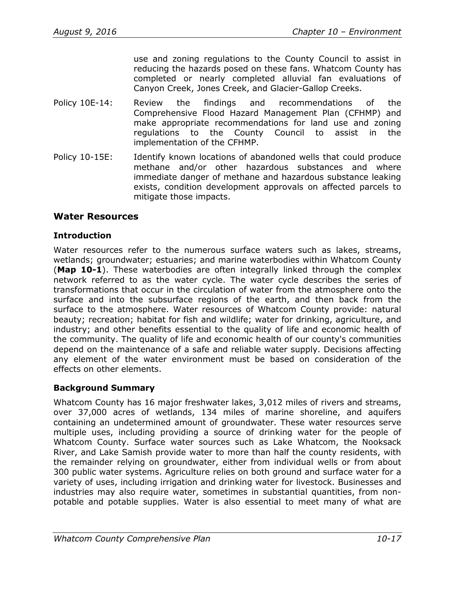use and zoning regulations to the County Council to assist in reducing the hazards posed on these fans. Whatcom County has completed or nearly completed alluvial fan evaluations of Canyon Creek, Jones Creek, and Glacier-Gallop Creeks.

- Policy 10E-14: Review the findings and recommendations of the Comprehensive Flood Hazard Management Plan (CFHMP) and make appropriate recommendations for land use and zoning regulations to the County Council to assist in the implementation of the CFHMP.
- Policy 10-15E: Identify known locations of abandoned wells that could produce methane and/or other hazardous substances and where immediate danger of methane and hazardous substance leaking exists, condition development approvals on affected parcels to mitigate those impacts.

## **Water Resources**

#### **Introduction**

Water resources refer to the numerous surface waters such as lakes, streams, wetlands; groundwater; estuaries; and marine waterbodies within Whatcom County (**Map 10-1**). These waterbodies are often integrally linked through the complex network referred to as the water cycle. The water cycle describes the series of transformations that occur in the circulation of water from the atmosphere onto the surface and into the subsurface regions of the earth, and then back from the surface to the atmosphere. Water resources of Whatcom County provide: natural beauty; recreation; habitat for fish and wildlife; water for drinking, agriculture, and industry; and other benefits essential to the quality of life and economic health of the community. The quality of life and economic health of our county's communities depend on the maintenance of a safe and reliable water supply. Decisions affecting any element of the water environment must be based on consideration of the effects on other elements.

## **Background Summary**

Whatcom County has 16 major freshwater lakes, 3,012 miles of rivers and streams, over 37,000 acres of wetlands, 134 miles of marine shoreline, and aquifers containing an undetermined amount of groundwater. These water resources serve multiple uses, including providing a source of drinking water for the people of Whatcom County. Surface water sources such as Lake Whatcom, the Nooksack River, and Lake Samish provide water to more than half the county residents, with the remainder relying on groundwater, either from individual wells or from about 300 public water systems. Agriculture relies on both ground and surface water for a variety of uses, including irrigation and drinking water for livestock. Businesses and industries may also require water, sometimes in substantial quantities, from nonpotable and potable supplies. Water is also essential to meet many of what are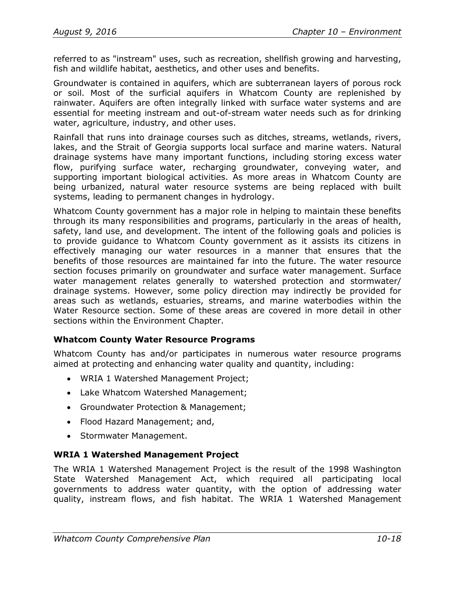referred to as "instream" uses, such as recreation, shellfish growing and harvesting, fish and wildlife habitat, aesthetics, and other uses and benefits.

Groundwater is contained in aquifers, which are subterranean layers of porous rock or soil. Most of the surficial aquifers in Whatcom County are replenished by rainwater. Aquifers are often integrally linked with surface water systems and are essential for meeting instream and out-of-stream water needs such as for drinking water, agriculture, industry, and other uses.

Rainfall that runs into drainage courses such as ditches, streams, wetlands, rivers, lakes, and the Strait of Georgia supports local surface and marine waters. Natural drainage systems have many important functions, including storing excess water flow, purifying surface water, recharging groundwater, conveying water, and supporting important biological activities. As more areas in Whatcom County are being urbanized, natural water resource systems are being replaced with built systems, leading to permanent changes in hydrology.

Whatcom County government has a major role in helping to maintain these benefits through its many responsibilities and programs, particularly in the areas of health, safety, land use, and development. The intent of the following goals and policies is to provide guidance to Whatcom County government as it assists its citizens in effectively managing our water resources in a manner that ensures that the benefits of those resources are maintained far into the future. The water resource section focuses primarily on groundwater and surface water management. Surface water management relates generally to watershed protection and stormwater/ drainage systems. However, some policy direction may indirectly be provided for areas such as wetlands, estuaries, streams, and marine waterbodies within the Water Resource section. Some of these areas are covered in more detail in other sections within the Environment Chapter.

## **Whatcom County Water Resource Programs**

Whatcom County has and/or participates in numerous water resource programs aimed at protecting and enhancing water quality and quantity, including:

- WRIA 1 Watershed Management Project;
- Lake Whatcom Watershed Management;
- Groundwater Protection & Management;
- Flood Hazard Management; and,
- Stormwater Management.

## **WRIA 1 Watershed Management Project**

The WRIA 1 Watershed Management Project is the result of the 1998 Washington State Watershed Management Act, which required all participating local governments to address water quantity, with the option of addressing water quality, instream flows, and fish habitat. The WRIA 1 Watershed Management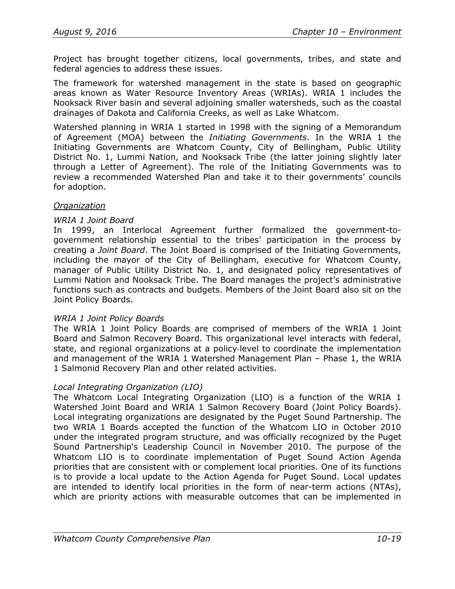Project has brought together citizens, local governments, tribes, and state and federal agencies to address these issues.

The framework for watershed management in the state is based on geographic areas known as Water Resource Inventory Areas (WRIAs). WRIA 1 includes the Nooksack River basin and several adjoining smaller watersheds, such as the coastal drainages of Dakota and California Creeks, as well as Lake Whatcom.

Watershed planning in WRIA 1 started in 1998 with the signing of a Memorandum of Agreement (MOA) between the *Initiating Governments*. In the WRIA 1 the Initiating Governments are Whatcom County, City of Bellingham, Public Utility District No. 1, Lummi Nation, and Nooksack Tribe (the latter joining slightly later through a Letter of Agreement). The role of the Initiating Governments was to review a recommended Watershed Plan and take it to their governments' councils for adoption.

#### *Organization*

#### *WRIA 1 Joint Board*

In 1999, an Interlocal Agreement further formalized the government-togovernment relationship essential to the tribes' participation in the process by creating a *Joint Board*. The Joint Board is comprised of the Initiating Governments, including the mayor of the City of Bellingham, executive for Whatcom County, manager of Public Utility District No. 1, and designated policy representatives of Lummi Nation and Nooksack Tribe. The Board manages the project's administrative functions such as contracts and budgets. Members of the Joint Board also sit on the Joint Policy Boards.

#### *WRIA 1 Joint Policy Boards*

The WRIA 1 Joint Policy Boards are comprised of members of the WRIA 1 Joint Board and Salmon Recovery Board. This organizational level interacts with federal, state, and regional organizations at a policy-level to coordinate the implementation and management of the WRIA 1 Watershed Management Plan – Phase 1, the WRIA 1 Salmonid Recovery Plan and other related activities.

#### *Local Integrating Organization (LIO)*

The Whatcom Local Integrating Organization (LIO) is a function of the WRIA 1 Watershed Joint Board and WRIA 1 Salmon Recovery Board (Joint Policy Boards). Local integrating organizations are designated by the Puget Sound Partnership. The two WRIA 1 Boards accepted the function of the Whatcom LIO in October 2010 under the integrated program structure, and was officially recognized by the Puget Sound Partnership's Leadership Council in November 2010. The purpose of the Whatcom LIO is to coordinate implementation of Puget Sound Action Agenda priorities that are consistent with or complement local priorities. One of its functions is to provide a local update to the Action Agenda for Puget Sound. Local updates are intended to identify local priorities in the form of near-term actions (NTAs), which are priority actions with measurable outcomes that can be implemented in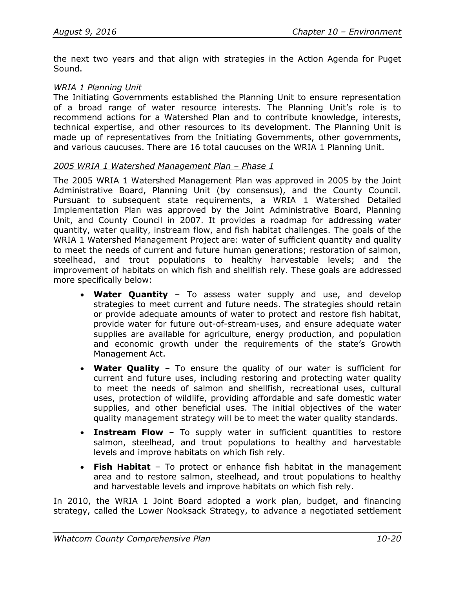the next two years and that align with strategies in the Action Agenda for Puget Sound.

#### *WRIA 1 Planning Unit*

The Initiating Governments established the Planning Unit to ensure representation of a broad range of water resource interests. The Planning Unit's role is to recommend actions for a Watershed Plan and to contribute knowledge, interests, technical expertise, and other resources to its development. The Planning Unit is made up of representatives from the Initiating Governments, other governments, and various caucuses. There are 16 total caucuses on the WRIA 1 Planning Unit.

#### *2005 WRIA 1 Watershed Management Plan – Phase 1*

The 2005 WRIA 1 [Watershed Management Plan](http://wria1project.whatcomcounty.org/64.aspx%23wmp) was approved in 2005 by the Joint Administrative Board, Planning Unit (by consensus), and the County Council. Pursuant to subsequent state requirements, a WRIA 1 Watershed Detailed Implementation Plan was approved by the Joint Administrative Board, Planning Unit, and County Council in 2007. It provides a roadmap for addressing water quantity, water quality, instream flow, and fish habitat challenges. The goals of the WRIA 1 Watershed Management Project are: water of sufficient quantity and quality to meet the needs of current and future human generations; restoration of salmon, steelhead, and trout populations to healthy harvestable levels; and the improvement of habitats on which fish and shellfish rely. These goals are addressed more specifically below:

- **Water Quantity** To assess water supply and use, and develop strategies to meet current and future needs. The strategies should retain or provide adequate amounts of water to protect and restore fish habitat, provide water for future out-of-stream-uses, and ensure adequate water supplies are available for agriculture, energy production, and population and economic growth under the requirements of the state's Growth Management Act.
- **Water Quality** To ensure the quality of our water is sufficient for current and future uses, including restoring and protecting water quality to meet the needs of salmon and shellfish, recreational uses, cultural uses, protection of wildlife, providing affordable and safe domestic water supplies, and other beneficial uses. The initial objectives of the water quality management strategy will be to meet the water quality standards.
- **Instream Flow** To supply water in sufficient quantities to restore salmon, steelhead, and trout populations to healthy and harvestable levels and improve habitats on which fish rely.
- **Fish Habitat** To protect or enhance fish habitat in the management area and to restore salmon, steelhead, and trout populations to healthy and harvestable levels and improve habitats on which fish rely.

In 2010, the WRIA 1 Joint Board adopted a work plan, budget, and financing strategy, called the Lower Nooksack Strategy, to advance a negotiated settlement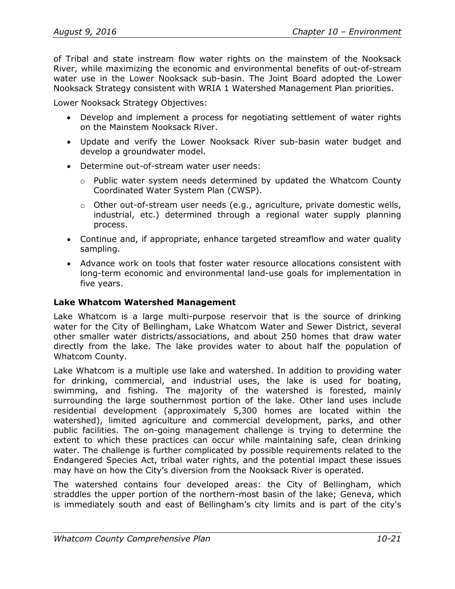of Tribal and state instream flow water rights on the mainstem of the Nooksack River, while maximizing the economic and environmental benefits of out-of-stream water use in the Lower Nooksack sub-basin. The Joint Board adopted the Lower Nooksack Strategy consistent with WRIA 1 Watershed Management Plan priorities.

Lower Nooksack Strategy Objectives:

- Develop and implement a process for negotiating settlement of water rights on the Mainstem Nooksack River.
- Update and verify the Lower Nooksack River sub-basin water budget and develop a groundwater model.
- Determine out-of-stream water user needs:
	- $\circ$  Public water system needs determined by updated the Whatcom County Coordinated Water System Plan (CWSP).
	- o Other out-of-stream user needs (e.g., agriculture, private domestic wells, industrial, etc.) determined through a regional water supply planning process.
- Continue and, if appropriate, enhance targeted streamflow and water quality sampling.
- Advance work on tools that foster water resource allocations consistent with long-term economic and environmental land-use goals for implementation in five years.

## **Lake Whatcom Watershed Management**

Lake Whatcom is a large multi-purpose reservoir that is the source of drinking water for the City of Bellingham, Lake Whatcom Water and Sewer District, several other smaller water districts/associations, and about 250 homes that draw water directly from the lake. The lake provides water to about half the population of Whatcom County.

Lake Whatcom is a multiple use lake and watershed. In addition to providing water for drinking, commercial, and industrial uses, the lake is used for boating, swimming, and fishing. The majority of the watershed is forested, mainly surrounding the large southernmost portion of the lake. Other land uses include residential development (approximately 5,300 homes are located within the watershed), limited agriculture and commercial development, parks, and other public facilities. The on-going management challenge is trying to determine the extent to which these practices can occur while maintaining safe, clean drinking water. The challenge is further complicated by possible requirements related to the Endangered Species Act, tribal water rights, and the potential impact these issues may have on how the City's diversion from the Nooksack River is operated.

The watershed contains four developed areas: the City of Bellingham, which straddles the upper portion of the northern-most basin of the lake; Geneva, which is immediately south and east of Bellingham's city limits and is part of the city's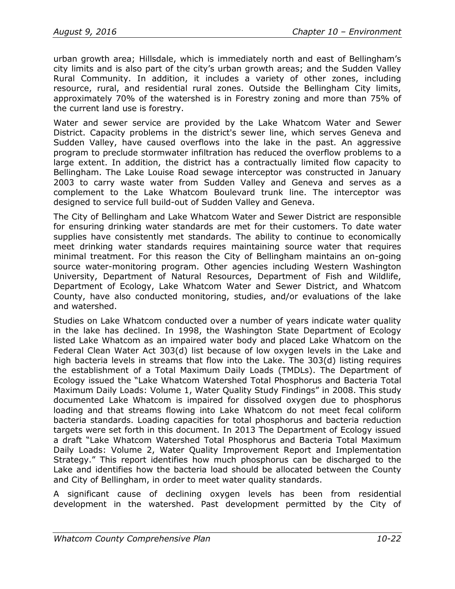urban growth area; Hillsdale, which is immediately north and east of Bellingham's city limits and is also part of the city's urban growth areas; and the Sudden Valley Rural Community. In addition, it includes a variety of other zones, including resource, rural, and residential rural zones. Outside the Bellingham City limits, approximately 70% of the watershed is in Forestry zoning and more than 75% of the current land use is forestry.

Water and sewer service are provided by the Lake Whatcom Water and Sewer District. Capacity problems in the district's sewer line, which serves Geneva and Sudden Valley, have caused overflows into the lake in the past. An aggressive program to preclude stormwater infiltration has reduced the overflow problems to a large extent. In addition, the district has a contractually limited flow capacity to Bellingham. The Lake Louise Road sewage interceptor was constructed in January 2003 to carry waste water from Sudden Valley and Geneva and serves as a complement to the Lake Whatcom Boulevard trunk line. The interceptor was designed to service full build-out of Sudden Valley and Geneva.

The City of Bellingham and Lake Whatcom Water and Sewer District are responsible for ensuring drinking water standards are met for their customers. To date water supplies have consistently met standards. The ability to continue to economically meet drinking water standards requires maintaining source water that requires minimal treatment. For this reason the City of Bellingham maintains an on-going source water-monitoring program. Other agencies including Western Washington University, Department of Natural Resources, Department of Fish and Wildlife, Department of Ecology, Lake Whatcom Water and Sewer District, and Whatcom County, have also conducted monitoring, studies, and/or evaluations of the lake and watershed.

Studies on Lake Whatcom conducted over a number of years indicate water quality in the lake has declined. In 1998, the Washington State Department of Ecology listed Lake Whatcom as an impaired water body and placed Lake Whatcom on the Federal Clean Water Act 303(d) list because of low oxygen levels in the Lake and high bacteria levels in streams that flow into the Lake. The 303(d) listing requires the establishment of a Total Maximum Daily Loads (TMDLs). The Department of Ecology issued the "Lake Whatcom Watershed Total Phosphorus and Bacteria Total Maximum Daily Loads: Volume 1, Water Quality Study Findings" in 2008. This study documented Lake Whatcom is impaired for dissolved oxygen due to phosphorus loading and that streams flowing into Lake Whatcom do not meet fecal coliform bacteria standards. Loading capacities for total phosphorus and bacteria reduction targets were set forth in this document. In 2013 The Department of Ecology issued a draft "Lake Whatcom Watershed Total Phosphorus and Bacteria Total Maximum Daily Loads: Volume 2, Water Quality Improvement Report and Implementation Strategy." This report identifies how much phosphorus can be discharged to the Lake and identifies how the bacteria load should be allocated between the County and City of Bellingham, in order to meet water quality standards.

A significant cause of declining oxygen levels has been from residential development in the watershed. Past development permitted by the City of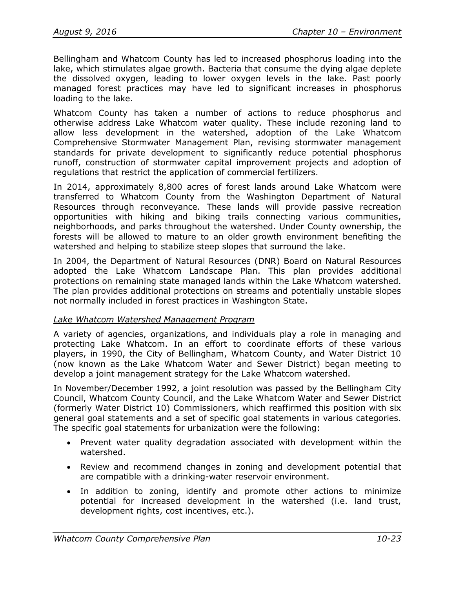Bellingham and Whatcom County has led to increased phosphorus loading into the lake, which stimulates algae growth. Bacteria that consume the dying algae deplete the dissolved oxygen, leading to lower oxygen levels in the lake. Past poorly managed forest practices may have led to significant increases in phosphorus loading to the lake.

Whatcom County has taken a number of actions to reduce phosphorus and otherwise address Lake Whatcom water quality. These include rezoning land to allow less development in the watershed, adoption of the Lake Whatcom Comprehensive Stormwater Management Plan, revising stormwater management standards for private development to significantly reduce potential phosphorus runoff, construction of stormwater capital improvement projects and adoption of regulations that restrict the application of commercial fertilizers.

In 2014, approximately 8,800 acres of forest lands around Lake Whatcom were transferred to Whatcom County from the Washington Department of Natural Resources through reconveyance. These lands will provide passive recreation opportunities with hiking and biking trails connecting various communities, neighborhoods, and parks throughout the watershed. Under County ownership, the forests will be allowed to mature to an older growth environment benefiting the watershed and helping to stabilize steep slopes that surround the lake.

In 2004, the Department of Natural Resources (DNR) Board on Natural Resources adopted the Lake Whatcom Landscape Plan. This plan provides additional protections on remaining state managed lands within the Lake Whatcom watershed. The plan provides additional protections on streams and potentially unstable slopes not normally included in forest practices in Washington State.

## *Lake Whatcom Watershed Management Program*

A variety of agencies, organizations, and individuals play a role in managing and protecting Lake Whatcom. In an effort to coordinate efforts of these various players, in 1990, the City of Bellingham, Whatcom County, and Water District 10 (now known as the Lake Whatcom Water and Sewer District) began meeting to develop a joint management strategy for the Lake Whatcom watershed.

In November/December 1992, a joint resolution was passed by the Bellingham City Council, Whatcom County Council, and the Lake Whatcom Water and Sewer District (formerly Water District 10) Commissioners, which reaffirmed this position with six general goal statements and a set of specific goal statements in various categories. The specific goal statements for urbanization were the following:

- Prevent water quality degradation associated with development within the watershed.
- Review and recommend changes in zoning and development potential that are compatible with a drinking-water reservoir environment.
- In addition to zoning, identify and promote other actions to minimize potential for increased development in the watershed (i.e. land trust, development rights, cost incentives, etc.).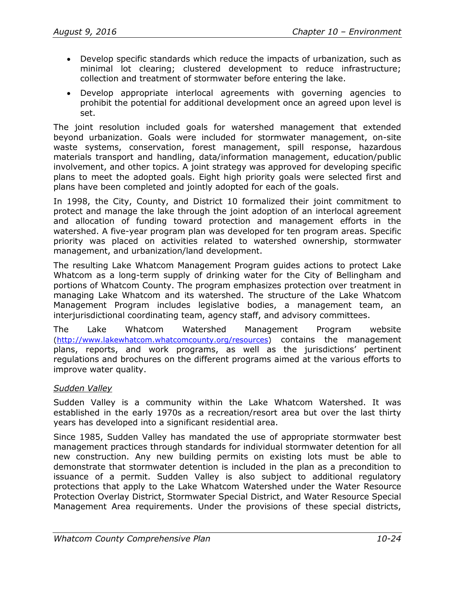- Develop specific standards which reduce the impacts of urbanization, such as minimal lot clearing; clustered development to reduce infrastructure; collection and treatment of stormwater before entering the lake.
- Develop appropriate interlocal agreements with governing agencies to prohibit the potential for additional development once an agreed upon level is set.

The joint resolution included goals for watershed management that extended beyond urbanization. Goals were included for stormwater management, on-site waste systems, conservation, forest management, spill response, hazardous materials transport and handling, data/information management, education/public involvement, and other topics. A joint strategy was approved for developing specific plans to meet the adopted goals. Eight high priority goals were selected first and plans have been completed and jointly adopted for each of the goals.

In 1998, the City, County, and District 10 formalized their joint commitment to protect and manage the lake through the joint adoption of an interlocal agreement and allocation of funding toward protection and management efforts in the watershed. A five-year program plan was developed for ten program areas. Specific priority was placed on activities related to watershed ownership, stormwater management, and urbanization/land development.

The resulting Lake Whatcom Management Program guides actions to protect Lake Whatcom as a long-term supply of drinking water for the City of Bellingham and portions of Whatcom County. The program emphasizes protection over treatment in managing Lake Whatcom and its watershed. The structure of the Lake Whatcom Management Program includes legislative bodies, a management team, an interjurisdictional coordinating team, agency staff, and advisory committees.

The Lake Whatcom Watershed Management Program website [\(http://www.lakewhatcom.whatcomcounty.org/resources\)](http://www.lakewhatcom.whatcomcounty.org/resources) contains the management plans, reports, and work programs, as well as the jurisdictions' pertinent regulations and brochures on the different programs aimed at the various efforts to improve water quality.

## *Sudden Valley*

Sudden Valley is a community within the Lake Whatcom Watershed. It was established in the early 1970s as a recreation/resort area but over the last thirty years has developed into a significant residential area.

Since 1985, Sudden Valley has mandated the use of appropriate stormwater best management practices through standards for individual stormwater detention for all new construction. Any new building permits on existing lots must be able to demonstrate that stormwater detention is included in the plan as a precondition to issuance of a permit. Sudden Valley is also subject to additional regulatory protections that apply to the Lake Whatcom Watershed under the Water Resource Protection Overlay District, Stormwater Special District, and Water Resource Special Management Area requirements. Under the provisions of these special districts,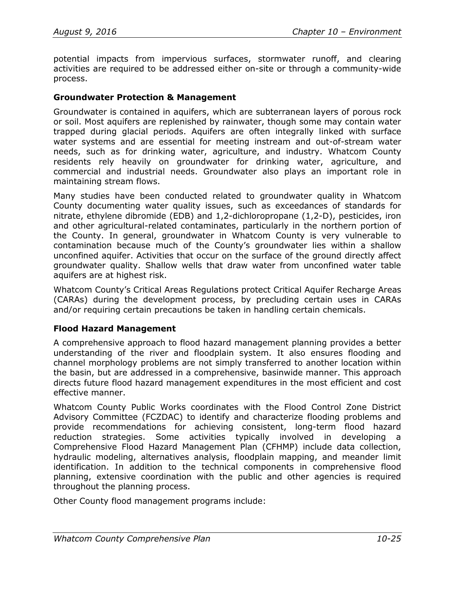potential impacts from impervious surfaces, stormwater runoff, and clearing activities are required to be addressed either on-site or through a community-wide process.

#### **Groundwater Protection & Management**

Groundwater is contained in aquifers, which are subterranean layers of porous rock or soil. Most aquifers are replenished by rainwater, though some may contain water trapped during glacial periods. Aquifers are often integrally linked with surface water systems and are essential for meeting instream and out-of-stream water needs, such as for drinking water, agriculture, and industry. Whatcom County residents rely heavily on groundwater for drinking water, agriculture, and commercial and industrial needs. Groundwater also plays an important role in maintaining stream flows.

Many studies have been conducted related to groundwater quality in Whatcom County documenting water quality issues, such as exceedances of standards for nitrate, ethylene dibromide (EDB) and 1,2-dichloropropane (1,2-D), pesticides, iron and other agricultural-related contaminates, particularly in the northern portion of the County. In general, groundwater in Whatcom County is very vulnerable to contamination because much of the County's groundwater lies within a shallow unconfined aquifer. Activities that occur on the surface of the ground directly affect groundwater quality. Shallow wells that draw water from unconfined water table aquifers are at highest risk.

Whatcom County's Critical Areas Regulations protect Critical Aquifer Recharge Areas (CARAs) during the development process, by precluding certain uses in CARAs and/or requiring certain precautions be taken in handling certain chemicals.

## **Flood Hazard Management**

A comprehensive approach to flood hazard management planning provides a better understanding of the river and floodplain system. It also ensures flooding and channel morphology problems are not simply transferred to another location within the basin, but are addressed in a comprehensive, basinwide manner. This approach directs future flood hazard management expenditures in the most efficient and cost effective manner.

Whatcom County Public Works coordinates with the Flood Control Zone District Advisory Committee (FCZDAC) to identify and characterize flooding problems and provide recommendations for achieving consistent, long-term flood hazard reduction strategies. Some activities typically involved in developing a Comprehensive Flood Hazard Management Plan (CFHMP) include data collection, hydraulic modeling, alternatives analysis, floodplain mapping, and meander limit identification. In addition to the technical components in comprehensive flood planning, extensive coordination with the public and other agencies is required throughout the planning process.

Other County flood management programs include: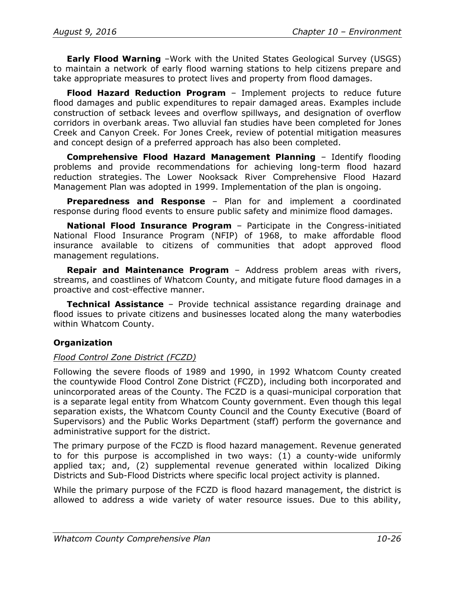**Early Flood Warning** –Work with the United States Geological Survey (USGS) to maintain a network of early flood warning stations to help citizens prepare and take appropriate measures to protect lives and property from flood damages.

**Flood Hazard Reduction Program** – Implement projects to reduce future flood damages and public expenditures to repair damaged areas. Examples include construction of setback levees and overflow spillways, and designation of overflow corridors in overbank areas. Two alluvial fan studies have been completed for Jones Creek and Canyon Creek. For Jones Creek, review of potential mitigation measures and concept design of a preferred approach has also been completed.

**Comprehensive Flood Hazard Management Planning** – Identify flooding problems and provide recommendations for achieving long-term flood hazard reduction strategies. The Lower Nooksack River Comprehensive Flood Hazard Management Plan was adopted in 1999. Implementation of the plan is ongoing.

**Preparedness and Response** – Plan for and implement a coordinated response during flood events to ensure public safety and minimize flood damages.

**National Flood Insurance Program** – Participate in the Congress-initiated National Flood Insurance Program (NFIP) of 1968, to make affordable flood insurance available to citizens of communities that adopt approved flood management regulations.

**Repair and Maintenance Program** – Address problem areas with rivers, streams, and coastlines of Whatcom County, and mitigate future flood damages in a proactive and cost-effective manner.

**Technical Assistance** – Provide technical assistance regarding drainage and flood issues to private citizens and businesses located along the many waterbodies within Whatcom County.

## **Organization**

## *Flood Control Zone District (FCZD)*

Following the severe floods of 1989 and 1990, in 1992 Whatcom County created the countywide Flood Control Zone District (FCZD), including both incorporated and unincorporated areas of the County. The FCZD is a quasi-municipal corporation that is a separate legal entity from Whatcom County government. Even though this legal separation exists, the Whatcom County Council and the County Executive (Board of Supervisors) and the Public Works Department (staff) perform the governance and administrative support for the district.

The primary purpose of the FCZD is flood hazard management. Revenue generated to for this purpose is accomplished in two ways: (1) a county-wide uniformly applied tax; and, (2) supplemental revenue generated within localized Diking Districts and Sub-Flood Districts where specific local project activity is planned.

While the primary purpose of the FCZD is flood hazard management, the district is allowed to address a wide variety of water resource issues. Due to this ability,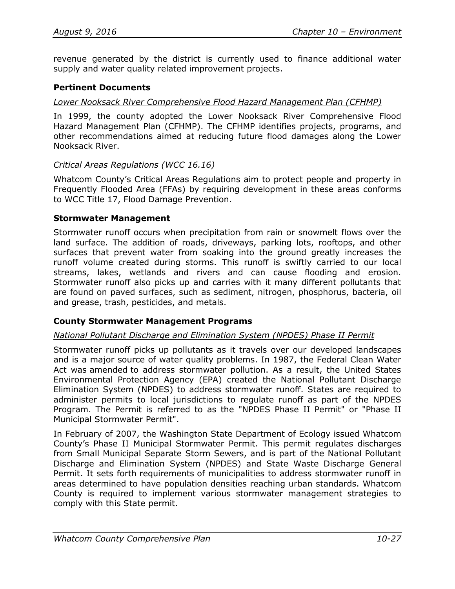revenue generated by the district is currently used to finance additional water supply and water quality related improvement projects.

#### **Pertinent Documents**

#### *Lower Nooksack River Comprehensive Flood Hazard Management Plan (CFHMP)*

In 1999, the county adopted the Lower Nooksack River Comprehensive Flood Hazard Management Plan (CFHMP). The CFHMP identifies projects, programs, and other recommendations aimed at reducing future flood damages along the Lower Nooksack River.

#### *Critical Areas Regulations (WCC 16.16)*

Whatcom County's Critical Areas Regulations aim to protect people and property in Frequently Flooded Area (FFAs) by requiring development in these areas conforms to WCC Title 17, Flood Damage Prevention.

#### **Stormwater Management**

Stormwater runoff occurs when precipitation from rain or snowmelt flows over the land surface. The addition of roads, driveways, parking lots, rooftops, and other surfaces that prevent water from soaking into the ground greatly increases the runoff volume created during storms. This runoff is swiftly carried to our local streams, lakes, wetlands and rivers and can cause flooding and erosion. Stormwater runoff also picks up and carries with it many different pollutants that are found on paved surfaces, such as sediment, nitrogen, phosphorus, bacteria, oil and grease, trash, pesticides, and metals.

## **County Stormwater Management Programs**

#### *National Pollutant Discharge and Elimination System (NPDES) Phase II Permit*

Stormwater runoff picks up pollutants as it travels over our developed landscapes and is a major source of water quality problems. In 1987, the Federal Clean Water Act was amended to address stormwater pollution. As a result, the United States Environmental Protection Agency (EPA) created the National Pollutant Discharge Elimination System (NPDES) to address stormwater runoff. States are required to administer permits to local jurisdictions to regulate runoff as part of the NPDES Program. The Permit is referred to as the "NPDES Phase II Permit" or "Phase II Municipal Stormwater Permit".

In February of 2007, the Washington State Department of Ecology issued Whatcom County's Phase II Municipal Stormwater Permit. This permit regulates discharges from Small Municipal Separate Storm Sewers, and is part of the National Pollutant Discharge and Elimination System (NPDES) and State Waste Discharge General Permit. It sets forth requirements of municipalities to address stormwater runoff in areas determined to have population densities reaching urban standards. Whatcom County is required to implement various stormwater management strategies to comply with this State permit.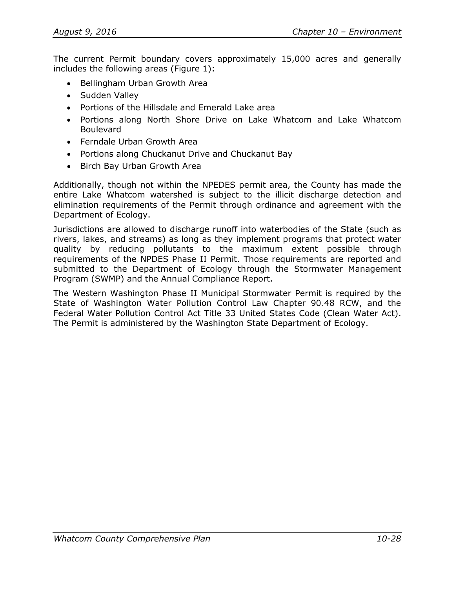The current Permit boundary covers approximately 15,000 acres and generally includes the following areas [\(Figure 1\)](#page-28-0):

- Bellingham Urban Growth Area
- Sudden Valley
- Portions of the Hillsdale and Emerald Lake area
- Portions along North Shore Drive on Lake Whatcom and Lake Whatcom Boulevard
- Ferndale Urban Growth Area
- Portions along Chuckanut Drive and Chuckanut Bay
- Birch Bay Urban Growth Area

Additionally, though not within the NPEDES permit area, the County has made the entire Lake Whatcom watershed is subject to the illicit discharge detection and elimination requirements of the Permit through ordinance and agreement with the Department of Ecology.

Jurisdictions are allowed to discharge runoff into waterbodies of the State (such as rivers, lakes, and streams) as long as they implement programs that protect water quality by reducing pollutants to the maximum extent possible through requirements of the NPDES Phase II Permit. Those requirements are reported and submitted to the Department of Ecology through the Stormwater Management Program (SWMP) and the Annual Compliance Report.

The Western Washington Phase II Municipal Stormwater Permit is required by the State of Washington Water Pollution Control Law Chapter 90.48 RCW, and the Federal Water Pollution Control Act Title 33 United States Code (Clean Water Act). The Permit is administered by the Washington State Department of Ecology.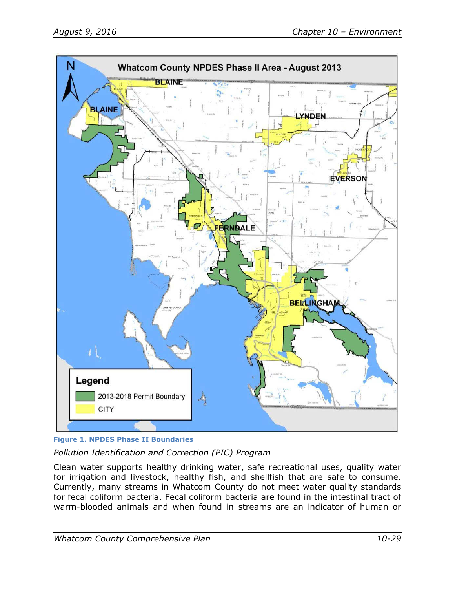

<span id="page-28-0"></span>**Figure 1. NPDES Phase II Boundaries** *Pollution Identification and Correction (PIC) Program*

Clean water supports healthy drinking water, safe recreational uses, quality water for irrigation and livestock, healthy fish, and shellfish that are safe to consume. Currently, many streams in Whatcom County do not meet water quality standards for fecal coliform bacteria. Fecal coliform bacteria are found in the intestinal tract of warm-blooded animals and when found in streams are an indicator of human or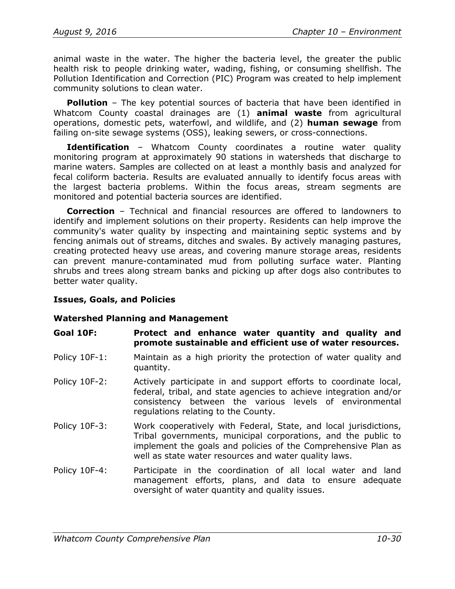animal waste in the water. The higher the bacteria level, the greater the public health risk to people drinking water, wading, fishing, or consuming shellfish. The Pollution Identification and Correction (PIC) Program was created to help implement community solutions to clean water.

**Pollution** – The key potential sources of bacteria that have been identified in Whatcom County coastal drainages are (1) **animal waste** from agricultural operations, domestic pets, waterfowl, and wildlife, and (2) **human sewage** from failing on-site sewage systems (OSS), leaking sewers, or cross-connections.

**Identification** – Whatcom County coordinates a routine water quality monitoring program at approximately 90 stations in watersheds that discharge to marine waters. Samples are collected on at least a monthly basis and analyzed for fecal coliform bacteria. Results are evaluated annually to identify focus areas with the largest bacteria problems. Within the focus areas, stream segments are monitored and potential bacteria sources are identified.

**Correction** – Technical and financial resources are offered to landowners to identify and implement solutions on their property. Residents can help improve the community's water quality by inspecting and maintaining septic systems and by fencing animals out of streams, ditches and swales. By actively managing pastures, creating protected heavy use areas, and covering manure storage areas, residents can prevent manure-contaminated mud from polluting surface water. Planting shrubs and trees along stream banks and picking up after dogs also contributes to better water quality.

## **Issues, Goals, and Policies**

## **Watershed Planning and Management**

- **Goal 10F: Protect and enhance water quantity and quality and promote sustainable and efficient use of water resources.**
- Policy 10F-1: Maintain as a high priority the protection of water quality and quantity.
- Policy 10F-2: Actively participate in and support efforts to coordinate local, federal, tribal, and state agencies to achieve integration and/or consistency between the various levels of environmental regulations relating to the County.
- Policy 10F-3: Work cooperatively with Federal, State, and local jurisdictions, Tribal governments, municipal corporations, and the public to implement the goals and policies of the Comprehensive Plan as well as state water resources and water quality laws.
- Policy 10F-4: Participate in the coordination of all local water and land management efforts, plans, and data to ensure adequate oversight of water quantity and quality issues.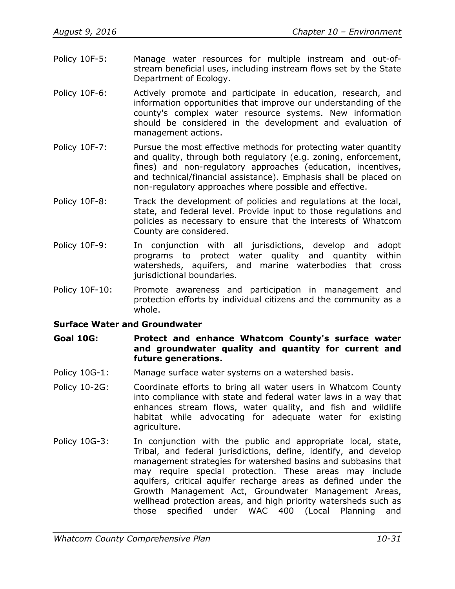- Policy 10F-5: Manage water resources for multiple instream and out-ofstream beneficial uses, including instream flows set by the State Department of Ecology.
- Policy 10F-6: Actively promote and participate in education, research, and information opportunities that improve our understanding of the county's complex water resource systems. New information should be considered in the development and evaluation of management actions.
- Policy 10F-7: Pursue the most effective methods for protecting water quantity and quality, through both regulatory (e.g. zoning, enforcement, fines) and non-regulatory approaches (education, incentives, and technical/financial assistance). Emphasis shall be placed on non-regulatory approaches where possible and effective.
- Policy 10F-8: Track the development of policies and regulations at the local, state, and federal level. Provide input to those regulations and policies as necessary to ensure that the interests of Whatcom County are considered.
- Policy 10F-9: In conjunction with all jurisdictions, develop and adopt programs to protect water quality and quantity within watersheds, aquifers, and marine waterbodies that cross jurisdictional boundaries.
- Policy 10F-10: Promote awareness and participation in management and protection efforts by individual citizens and the community as a whole.

## **Surface Water and Groundwater**

- **Goal 10G: Protect and enhance Whatcom County's surface water and groundwater quality and quantity for current and future generations.**
- Policy 10G-1: Manage surface water systems on a watershed basis.
- Policy 10-2G: Coordinate efforts to bring all water users in Whatcom County into compliance with state and federal water laws in a way that enhances stream flows, water quality, and fish and wildlife habitat while advocating for adequate water for existing agriculture.
- Policy 10G-3: In conjunction with the public and appropriate local, state, Tribal, and federal jurisdictions, define, identify, and develop management strategies for watershed basins and subbasins that may require special protection. These areas may include aquifers, critical aquifer recharge areas as defined under the Growth Management Act, Groundwater Management Areas, wellhead protection areas, and high priority watersheds such as those specified under WAC 400 (Local Planning and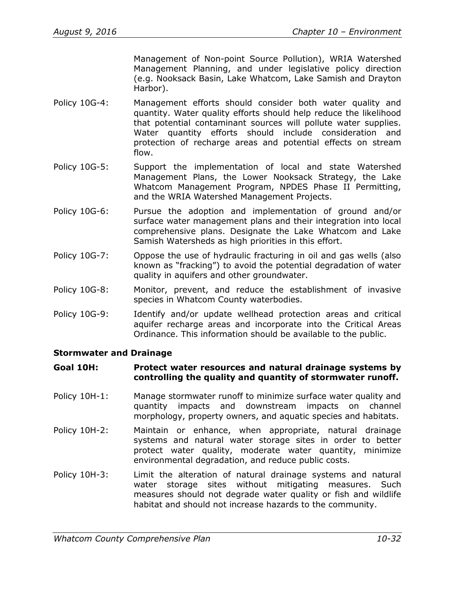Management of Non-point Source Pollution), WRIA Watershed Management Planning, and under legislative policy direction (e.g. Nooksack Basin, Lake Whatcom, Lake Samish and Drayton Harbor).

- Policy 10G-4: Management efforts should consider both water quality and quantity. Water quality efforts should help reduce the likelihood that potential contaminant sources will pollute water supplies. Water quantity efforts should include consideration and protection of recharge areas and potential effects on stream flow.
- Policy 10G-5: Support the implementation of local and state Watershed Management Plans, the Lower Nooksack Strategy, the Lake Whatcom Management Program, NPDES Phase II Permitting, and the WRIA Watershed Management Projects.
- Policy 10G-6: Pursue the adoption and implementation of ground and/or surface water management plans and their integration into local comprehensive plans. Designate the Lake Whatcom and Lake Samish Watersheds as high priorities in this effort.
- Policy 10G-7: Oppose the use of hydraulic fracturing in oil and gas wells (also known as "fracking") to avoid the potential degradation of water quality in aquifers and other groundwater.
- Policy 10G-8: Monitor, prevent, and reduce the establishment of invasive species in Whatcom County waterbodies.
- Policy 10G-9: Identify and/or update wellhead protection areas and critical aquifer recharge areas and incorporate into the Critical Areas Ordinance. This information should be available to the public.

## **Stormwater and Drainage**

#### **Goal 10H: Protect water resources and natural drainage systems by controlling the quality and quantity of stormwater runoff.**

- Policy 10H-1: Manage stormwater runoff to minimize surface water quality and quantity impacts and downstream impacts on channel morphology, property owners, and aquatic species and habitats.
- Policy 10H-2: Maintain or enhance, when appropriate, natural drainage systems and natural water storage sites in order to better protect water quality, moderate water quantity, minimize environmental degradation, and reduce public costs.
- Policy 10H-3: Limit the alteration of natural drainage systems and natural water storage sites without mitigating measures. Such measures should not degrade water quality or fish and wildlife habitat and should not increase hazards to the community.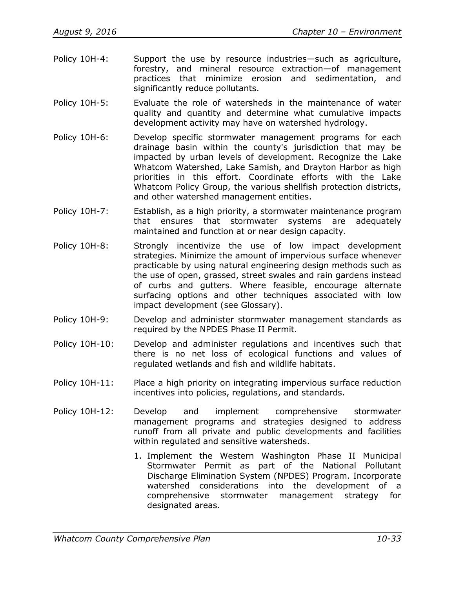- Policy 10H-4: Support the use by resource industries—such as agriculture, forestry, and mineral resource extraction—of management practices that minimize erosion and sedimentation, and significantly reduce pollutants.
- Policy 10H-5: Evaluate the role of watersheds in the maintenance of water quality and quantity and determine what cumulative impacts development activity may have on watershed hydrology.
- Policy 10H-6: Develop specific stormwater management programs for each drainage basin within the county's jurisdiction that may be impacted by urban levels of development. Recognize the Lake Whatcom Watershed, Lake Samish, and Drayton Harbor as high priorities in this effort. Coordinate efforts with the Lake Whatcom Policy Group, the various shellfish protection districts, and other watershed management entities.
- Policy 10H-7: Establish, as a high priority, a stormwater maintenance program that ensures that stormwater systems are adequately maintained and function at or near design capacity.
- Policy 10H-8: Strongly incentivize the use of low impact development strategies. Minimize the amount of impervious surface whenever practicable by using natural engineering design methods such as the use of open, grassed, street swales and rain gardens instead of curbs and gutters. Where feasible, encourage alternate surfacing options and other techniques associated with low impact development (see Glossary).
- Policy 10H-9: Develop and administer stormwater management standards as required by the NPDES Phase II Permit.
- Policy 10H-10: Develop and administer regulations and incentives such that there is no net loss of ecological functions and values of regulated wetlands and fish and wildlife habitats.
- Policy 10H-11: Place a high priority on integrating impervious surface reduction incentives into policies, regulations, and standards.
- Policy 10H-12: Develop and implement comprehensive stormwater management programs and strategies designed to address runoff from all private and public developments and facilities within regulated and sensitive watersheds.
	- 1. Implement the Western Washington Phase II Municipal Stormwater Permit as part of the National Pollutant Discharge Elimination System (NPDES) Program. Incorporate watershed considerations into the development of a comprehensive stormwater management strategy for designated areas.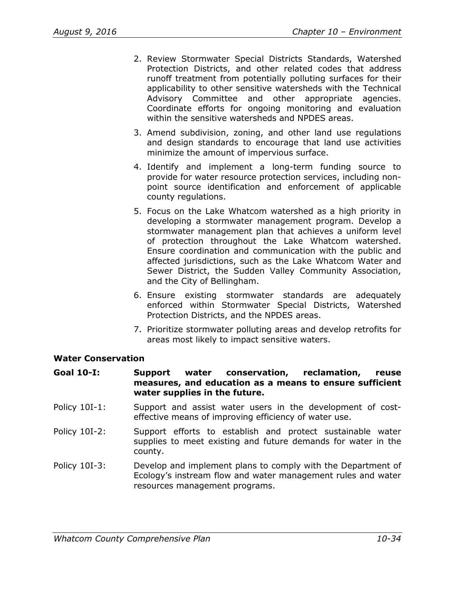- 2. Review Stormwater Special Districts Standards, Watershed Protection Districts, and other related codes that address runoff treatment from potentially polluting surfaces for their applicability to other sensitive watersheds with the Technical Advisory Committee and other appropriate agencies. Coordinate efforts for ongoing monitoring and evaluation within the sensitive watersheds and NPDES areas.
- 3. Amend subdivision, zoning, and other land use regulations and design standards to encourage that land use activities minimize the amount of impervious surface.
- 4. Identify and implement a long-term funding source to provide for water resource protection services, including nonpoint source identification and enforcement of applicable county regulations.
- 5. Focus on the Lake Whatcom watershed as a high priority in developing a stormwater management program. Develop a stormwater management plan that achieves a uniform level of protection throughout the Lake Whatcom watershed. Ensure coordination and communication with the public and affected jurisdictions, such as the Lake Whatcom Water and Sewer District, the Sudden Valley Community Association, and the City of Bellingham.
- 6. Ensure existing stormwater standards are adequately enforced within Stormwater Special Districts, Watershed Protection Districts, and the NPDES areas.
- 7. Prioritize stormwater polluting areas and develop retrofits for areas most likely to impact sensitive waters.

## **Water Conservation**

#### **Goal 10-I: Support water conservation, reclamation, reuse measures, and education as a means to ensure sufficient water supplies in the future.**

- Policy 10I-1: Support and assist water users in the development of costeffective means of improving efficiency of water use.
- Policy 10I-2: Support efforts to establish and protect sustainable water supplies to meet existing and future demands for water in the county.
- Policy 10I-3: Develop and implement plans to comply with the Department of Ecology's instream flow and water management rules and water resources management programs.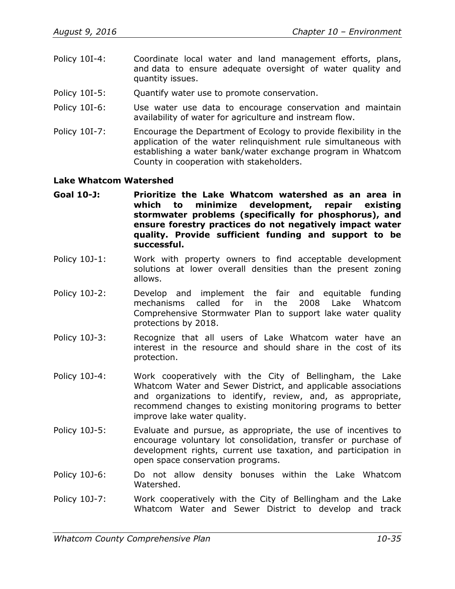- Policy 10I-4: Coordinate local water and land management efforts, plans, and data to ensure adequate oversight of water quality and quantity issues.
- Policy 10I-5: Quantify water use to promote conservation.
- Policy 10I-6: Use water use data to encourage conservation and maintain availability of water for agriculture and instream flow.
- Policy 10I-7: Encourage the Department of Ecology to provide flexibility in the application of the water relinquishment rule simultaneous with establishing a water bank/water exchange program in Whatcom County in cooperation with stakeholders.

#### **Lake Whatcom Watershed**

- **Goal 10-J: Prioritize the Lake Whatcom watershed as an area in which to minimize development, repair existing stormwater problems (specifically for phosphorus), and ensure forestry practices do not negatively impact water quality. Provide sufficient funding and support to be successful.**
- Policy 10J-1: Work with property owners to find acceptable development solutions at lower overall densities than the present zoning allows.
- Policy 10J-2: Develop and implement the fair and equitable funding mechanisms called for in the 2008 Lake Whatcom Comprehensive Stormwater Plan to support lake water quality protections by 2018.
- Policy 10J-3: Recognize that all users of Lake Whatcom water have an interest in the resource and should share in the cost of its protection.
- Policy 10J-4: Work cooperatively with the City of Bellingham, the Lake Whatcom Water and Sewer District, and applicable associations and organizations to identify, review, and, as appropriate, recommend changes to existing monitoring programs to better improve lake water quality.
- Policy 10J-5: Evaluate and pursue, as appropriate, the use of incentives to encourage voluntary lot consolidation, transfer or purchase of development rights, current use taxation, and participation in open space conservation programs.
- Policy 10J-6: Do not allow density bonuses within the Lake Whatcom Watershed.
- Policy 10J-7: Work cooperatively with the City of Bellingham and the Lake Whatcom Water and Sewer District to develop and track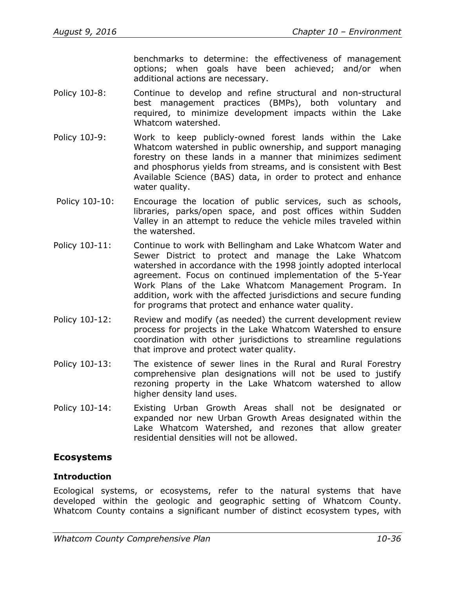benchmarks to determine: the effectiveness of management options; when goals have been achieved; and/or when additional actions are necessary.

- Policy 10J-8: Continue to develop and refine structural and non-structural best management practices (BMPs), both voluntary and required, to minimize development impacts within the Lake Whatcom watershed.
- Policy 10J-9: Work to keep publicly-owned forest lands within the Lake Whatcom watershed in public ownership, and support managing forestry on these lands in a manner that minimizes sediment and phosphorus yields from streams, and is consistent with Best Available Science (BAS) data, in order to protect and enhance water quality.
- Policy 10J-10: Encourage the location of public services, such as schools, libraries, parks/open space, and post offices within Sudden Valley in an attempt to reduce the vehicle miles traveled within the watershed.
- Policy 10J-11: Continue to work with Bellingham and Lake Whatcom Water and Sewer District to protect and manage the Lake Whatcom watershed in accordance with the 1998 jointly adopted interlocal agreement. Focus on continued implementation of the 5-Year Work Plans of the Lake Whatcom Management Program. In addition, work with the affected jurisdictions and secure funding for programs that protect and enhance water quality.
- Policy 10J-12: Review and modify (as needed) the current development review process for projects in the Lake Whatcom Watershed to ensure coordination with other jurisdictions to streamline regulations that improve and protect water quality.
- Policy 10J-13: The existence of sewer lines in the Rural and Rural Forestry comprehensive plan designations will not be used to justify rezoning property in the Lake Whatcom watershed to allow higher density land uses.
- Policy 10J-14: Existing Urban Growth Areas shall not be designated or expanded nor new Urban Growth Areas designated within the Lake Whatcom Watershed, and rezones that allow greater residential densities will not be allowed.

# **Ecosystems**

## **Introduction**

Ecological systems, or ecosystems, refer to the natural systems that have developed within the geologic and geographic setting of Whatcom County. Whatcom County contains a significant number of distinct ecosystem types, with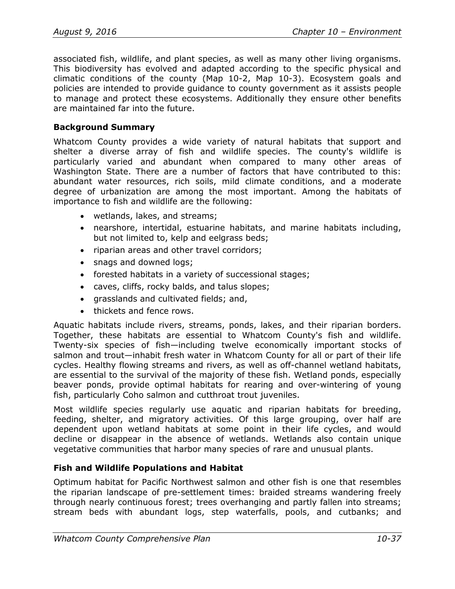associated fish, wildlife, and plant species, as well as many other living organisms. This biodiversity has evolved and adapted according to the specific physical and climatic conditions of the county (Map 10-2, Map 10-3). Ecosystem goals and policies are intended to provide guidance to county government as it assists people to manage and protect these ecosystems. Additionally they ensure other benefits are maintained far into the future.

## **Background Summary**

Whatcom County provides a wide variety of natural habitats that support and shelter a diverse array of fish and wildlife species. The county's wildlife is particularly varied and abundant when compared to many other areas of Washington State. There are a number of factors that have contributed to this: abundant water resources, rich soils, mild climate conditions, and a moderate degree of urbanization are among the most important. Among the habitats of importance to fish and wildlife are the following:

- wetlands, lakes, and streams;
- nearshore, intertidal, estuarine habitats, and marine habitats including, but not limited to, kelp and eelgrass beds;
- riparian areas and other travel corridors;
- snags and downed logs;
- forested habitats in a variety of successional stages;
- caves, cliffs, rocky balds, and talus slopes;
- grasslands and cultivated fields; and,
- thickets and fence rows.

Aquatic habitats include rivers, streams, ponds, lakes, and their riparian borders. Together, these habitats are essential to Whatcom County's fish and wildlife. Twenty-six species of fish—including twelve economically important stocks of salmon and trout—inhabit fresh water in Whatcom County for all or part of their life cycles. Healthy flowing streams and rivers, as well as off-channel wetland habitats, are essential to the survival of the majority of these fish. Wetland ponds, especially beaver ponds, provide optimal habitats for rearing and over-wintering of young fish, particularly Coho salmon and cutthroat trout juveniles.

Most wildlife species regularly use aquatic and riparian habitats for breeding, feeding, shelter, and migratory activities. Of this large grouping, over half are dependent upon wetland habitats at some point in their life cycles, and would decline or disappear in the absence of wetlands. Wetlands also contain unique vegetative communities that harbor many species of rare and unusual plants.

## **Fish and Wildlife Populations and Habitat**

Optimum habitat for Pacific Northwest salmon and other fish is one that resembles the riparian landscape of pre-settlement times: braided streams wandering freely through nearly continuous forest; trees overhanging and partly fallen into streams; stream beds with abundant logs, step waterfalls, pools, and cutbanks; and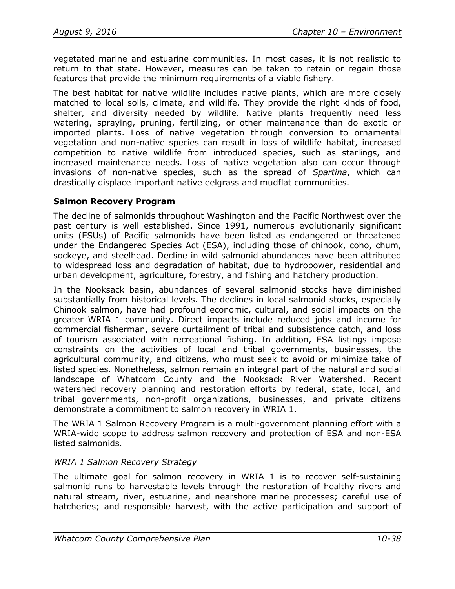vegetated marine and estuarine communities. In most cases, it is not realistic to return to that state. However, measures can be taken to retain or regain those features that provide the minimum requirements of a viable fishery.

The best habitat for native wildlife includes native plants, which are more closely matched to local soils, climate, and wildlife. They provide the right kinds of food, shelter, and diversity needed by wildlife. Native plants frequently need less watering, spraying, pruning, fertilizing, or other maintenance than do exotic or imported plants. Loss of native vegetation through conversion to ornamental vegetation and non-native species can result in loss of wildlife habitat, increased competition to native wildlife from introduced species, such as starlings, and increased maintenance needs. Loss of native vegetation also can occur through invasions of non-native species, such as the spread of *Spartina*, which can drastically displace important native eelgrass and mudflat communities.

#### **Salmon Recovery Program**

The decline of salmonids throughout Washington and the Pacific Northwest over the past century is well established. Since 1991, numerous evolutionarily significant units (ESUs) of Pacific salmonids have been listed as endangered or threatened under the Endangered Species Act (ESA), including those of chinook, coho, chum, sockeye, and steelhead. Decline in wild salmonid abundances have been attributed to widespread loss and degradation of habitat, due to hydropower, residential and urban development, agriculture, forestry, and fishing and hatchery production.

In the Nooksack basin, abundances of several salmonid stocks have diminished substantially from historical levels. The declines in local salmonid stocks, especially Chinook salmon, have had profound economic, cultural, and social impacts on the greater WRIA 1 community. Direct impacts include reduced jobs and income for commercial fisherman, severe curtailment of tribal and subsistence catch, and loss of tourism associated with recreational fishing. In addition, ESA listings impose constraints on the activities of local and tribal governments, businesses, the agricultural community, and citizens, who must seek to avoid or minimize take of listed species. Nonetheless, salmon remain an integral part of the natural and social landscape of Whatcom County and the Nooksack River Watershed. Recent watershed recovery planning and restoration efforts by federal, state, local, and tribal governments, non-profit organizations, businesses, and private citizens demonstrate a commitment to salmon recovery in WRIA 1.

The WRIA 1 Salmon Recovery Program is a multi-government planning effort with a WRIA-wide scope to address salmon recovery and protection of ESA and non-ESA listed salmonids.

## *WRIA 1 Salmon Recovery Strategy*

The ultimate goal for salmon recovery in WRIA 1 is to recover self-sustaining salmonid runs to harvestable levels through the restoration of healthy rivers and natural stream, river, estuarine, and nearshore marine processes; careful use of hatcheries; and responsible harvest, with the active participation and support of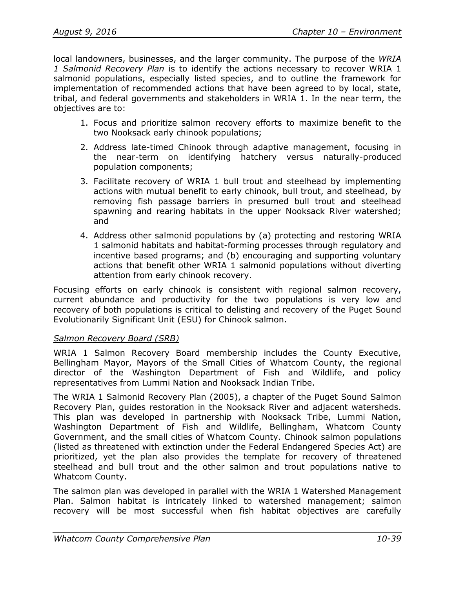local landowners, businesses, and the larger community. The purpose of the *WRIA 1 Salmonid Recovery Plan* is to identify the actions necessary to recover WRIA 1 salmonid populations, especially listed species, and to outline the framework for implementation of recommended actions that have been agreed to by local, state, tribal, and federal governments and stakeholders in WRIA 1. In the near term, the objectives are to:

- 1. Focus and prioritize salmon recovery efforts to maximize benefit to the two Nooksack early chinook populations;
- 2. Address late-timed Chinook through adaptive management, focusing in the near-term on identifying hatchery versus naturally-produced population components;
- 3. Facilitate recovery of WRIA 1 bull trout and steelhead by implementing actions with mutual benefit to early chinook, bull trout, and steelhead, by removing fish passage barriers in presumed bull trout and steelhead spawning and rearing habitats in the upper Nooksack River watershed; and
- 4. Address other salmonid populations by (a) protecting and restoring WRIA 1 salmonid habitats and habitat-forming processes through regulatory and incentive based programs; and (b) encouraging and supporting voluntary actions that benefit other WRIA 1 salmonid populations without diverting attention from early chinook recovery.

Focusing efforts on early chinook is consistent with regional salmon recovery, current abundance and productivity for the two populations is very low and recovery of both populations is critical to delisting and recovery of the Puget Sound Evolutionarily Significant Unit (ESU) for Chinook salmon.

## *Salmon Recovery Board (SRB)*

WRIA 1 Salmon Recovery Board membership includes the County Executive, Bellingham Mayor, Mayors of the Small Cities of Whatcom County, the regional director of the Washington Department of Fish and Wildlife, and policy representatives from Lummi Nation and Nooksack Indian Tribe.

The WRIA 1 Salmonid Recovery Plan (2005), a chapter of the Puget Sound Salmon Recovery Plan, guides restoration in the Nooksack River and adjacent watersheds. This plan was developed in partnership with Nooksack Tribe, Lummi Nation, Washington Department of Fish and Wildlife, Bellingham, Whatcom County Government, and the small cities of Whatcom County. Chinook salmon populations (listed as threatened with extinction under the Federal Endangered Species Act) are prioritized, yet the plan also provides the template for recovery of threatened steelhead and bull trout and the other salmon and trout populations native to Whatcom County.

The salmon plan was developed in parallel with the WRIA 1 Watershed Management Plan. Salmon habitat is intricately linked to watershed management; salmon recovery will be most successful when fish habitat objectives are carefully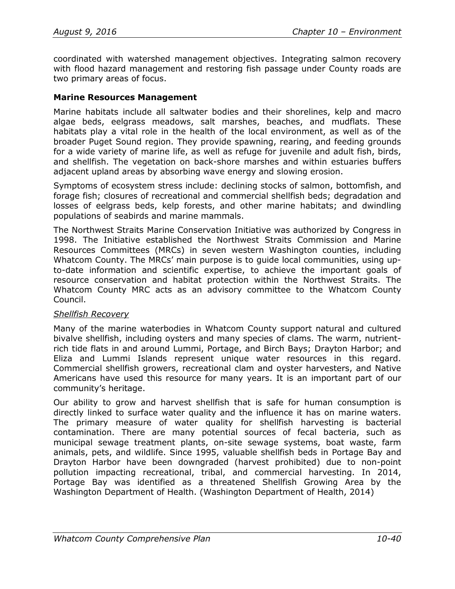coordinated with watershed management objectives. Integrating salmon recovery with flood hazard management and restoring fish passage under County roads are two primary areas of focus.

### **Marine Resources Management**

Marine habitats include all saltwater bodies and their shorelines, kelp and macro algae beds, eelgrass meadows, salt marshes, beaches, and mudflats. These habitats play a vital role in the health of the local environment, as well as of the broader Puget Sound region. They provide spawning, rearing, and feeding grounds for a wide variety of marine life, as well as refuge for juvenile and adult fish, birds, and shellfish. The vegetation on back-shore marshes and within estuaries buffers adjacent upland areas by absorbing wave energy and slowing erosion.

Symptoms of ecosystem stress include: declining stocks of salmon, bottomfish, and forage fish; closures of recreational and commercial shellfish beds; degradation and losses of eelgrass beds, kelp forests, and other marine habitats; and dwindling populations of seabirds and marine mammals.

The Northwest Straits Marine Conservation Initiative was authorized by Congress in 1998. The Initiative established the Northwest Straits Commission and Marine Resources Committees (MRCs) in seven western Washington counties, including Whatcom County. The MRCs' main purpose is to guide local communities, using upto-date information and scientific expertise, to achieve the important goals of resource conservation and habitat protection within the Northwest Straits. The Whatcom County MRC acts as an advisory committee to the Whatcom County Council.

#### *Shellfish Recovery*

Many of the marine waterbodies in Whatcom County support natural and cultured bivalve shellfish, including oysters and many species of clams. The warm, nutrientrich tide flats in and around Lummi, Portage, and Birch Bays; Drayton Harbor; and Eliza and Lummi Islands represent unique water resources in this regard. Commercial shellfish growers, recreational clam and oyster harvesters, and Native Americans have used this resource for many years. It is an important part of our community's heritage.

Our ability to grow and harvest shellfish that is safe for human consumption is directly linked to surface water quality and the influence it has on marine waters. The primary measure of water quality for shellfish harvesting is bacterial contamination. There are many potential sources of fecal bacteria, such as municipal sewage treatment plants, on-site sewage systems, boat waste, farm animals, pets, and wildlife. Since 1995, valuable shellfish beds in Portage Bay and Drayton Harbor have been downgraded (harvest prohibited) due to non-point pollution impacting recreational, tribal, and commercial harvesting. In 2014, Portage Bay was identified as a threatened Shellfish Growing Area by the Washington Department of Health. (Washington Department of Health, 2014)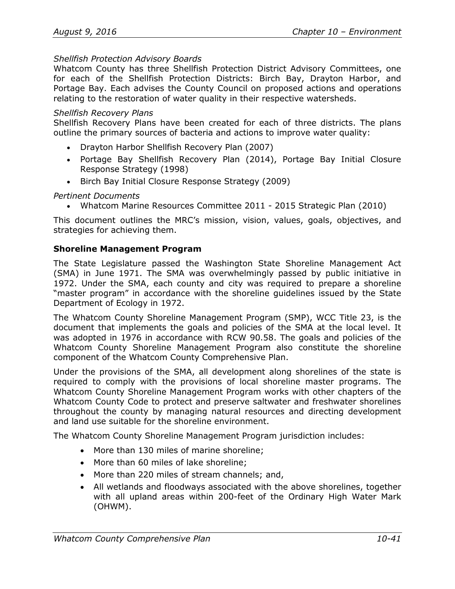#### *Shellfish Protection Advisory Boards*

Whatcom County has three Shellfish Protection District Advisory Committees, one for each of the Shellfish Protection Districts: Birch Bay, Drayton Harbor, and Portage Bay. Each advises the County Council on proposed actions and operations relating to the restoration of water quality in their respective watersheds.

#### *Shellfish Recovery Plans*

Shellfish Recovery Plans have been created for each of three districts. The plans outline the primary sources of bacteria and actions to improve water quality:

- [Drayton Harbor Shellfish Recovery Plan \(2007\)](http://www.co.whatcom.wa.us/publicworks/water/naturalresources/pdf/DHStatus-2007final.pdf)
- [Portage Bay Shellfish Recovery Plan \(2014\),](http://www.co.whatcom.wa.us/publicworks/water/naturalresources/pdf/CRSupdate05-14.final.pdf) [Portage Bay Initial Closure](http://www.co.whatcom.wa.us/publicworks/water/naturalresources/pdf/pbspdresponsestrat_1998.pdf)  [Response Strategy \(1998\)](http://www.co.whatcom.wa.us/publicworks/water/naturalresources/pdf/pbspdresponsestrat_1998.pdf)
- [Birch Bay Initial Closure Response Strategy \(2009\)](http://www.co.whatcom.wa.us/publicworks/water/naturalresources/pdf/BBresponsestrategy2009.pdf)

*Pertinent Documents*

• Whatcom Marine Resources Committee 2011 - 2015 Strategic Plan (2010)

This document outlines the MRC's mission, vision, values, goals, objectives, and strategies for achieving them.

#### **Shoreline Management Program**

The State Legislature passed the Washington State Shoreline Management Act (SMA) in June 1971. The SMA was overwhelmingly passed by public initiative in 1972. Under the SMA, each county and city was required to prepare a shoreline "master program" in accordance with the shoreline guidelines issued by the State Department of Ecology in 1972.

The Whatcom County Shoreline Management Program (SMP), WCC Title 23, is the document that implements the goals and policies of the SMA at the local level. It was adopted in 1976 in accordance with RCW 90.58. The goals and policies of the Whatcom County Shoreline Management Program also constitute the shoreline component of the Whatcom County Comprehensive Plan.

Under the provisions of the SMA, all development along shorelines of the state is required to comply with the provisions of local shoreline master programs. The Whatcom County Shoreline Management Program works with other chapters of the Whatcom County Code to protect and preserve saltwater and freshwater shorelines throughout the county by managing natural resources and directing development and land use suitable for the shoreline environment.

The Whatcom County Shoreline Management Program jurisdiction includes:

- More than 130 miles of marine shoreline;
- More than 60 miles of lake shoreline;
- More than 220 miles of stream channels; and,
- All wetlands and floodways associated with the above shorelines, together with all upland areas within 200-feet of the Ordinary High Water Mark (OHWM).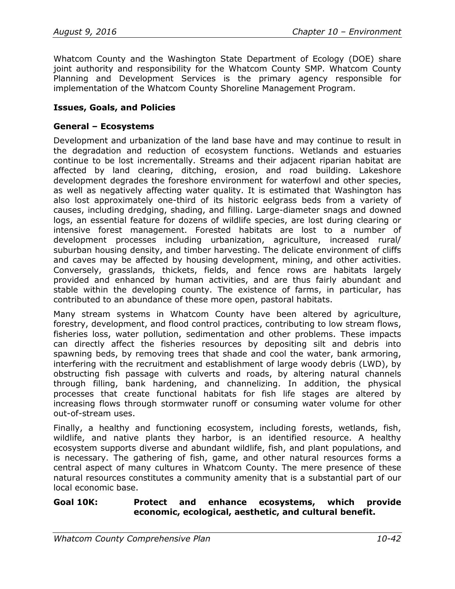Whatcom County and the Washington State Department of Ecology (DOE) share joint authority and responsibility for the Whatcom County SMP. Whatcom County Planning and Development Services is the primary agency responsible for implementation of the Whatcom County Shoreline Management Program.

### **Issues, Goals, and Policies**

#### **General – Ecosystems**

Development and urbanization of the land base have and may continue to result in the degradation and reduction of ecosystem functions. Wetlands and estuaries continue to be lost incrementally. Streams and their adjacent riparian habitat are affected by land clearing, ditching, erosion, and road building. Lakeshore development degrades the foreshore environment for waterfowl and other species, as well as negatively affecting water quality. It is estimated that Washington has also lost approximately one-third of its historic eelgrass beds from a variety of causes, including dredging, shading, and filling. Large-diameter snags and downed logs, an essential feature for dozens of wildlife species, are lost during clearing or intensive forest management. Forested habitats are lost to a number of development processes including urbanization, agriculture, increased rural/ suburban housing density, and timber harvesting. The delicate environment of cliffs and caves may be affected by housing development, mining, and other activities. Conversely, grasslands, thickets, fields, and fence rows are habitats largely provided and enhanced by human activities, and are thus fairly abundant and stable within the developing county. The existence of farms, in particular, has contributed to an abundance of these more open, pastoral habitats.

Many stream systems in Whatcom County have been altered by agriculture, forestry, development, and flood control practices, contributing to low stream flows, fisheries loss, water pollution, sedimentation and other problems. These impacts can directly affect the fisheries resources by depositing silt and debris into spawning beds, by removing trees that shade and cool the water, bank armoring, interfering with the recruitment and establishment of large woody debris (LWD), by obstructing fish passage with culverts and roads, by altering natural channels through filling, bank hardening, and channelizing. In addition, the physical processes that create functional habitats for fish life stages are altered by increasing flows through stormwater runoff or consuming water volume for other out-of-stream uses.

Finally, a healthy and functioning ecosystem, including forests, wetlands, fish, wildlife, and native plants they harbor, is an identified resource. A healthy ecosystem supports diverse and abundant wildlife, fish, and plant populations, and is necessary. The gathering of fish, game, and other natural resources forms a central aspect of many cultures in Whatcom County. The mere presence of these natural resources constitutes a community amenity that is a substantial part of our local economic base.

#### **Goal 10K: Protect and enhance ecosystems, which provide economic, ecological, aesthetic, and cultural benefit.**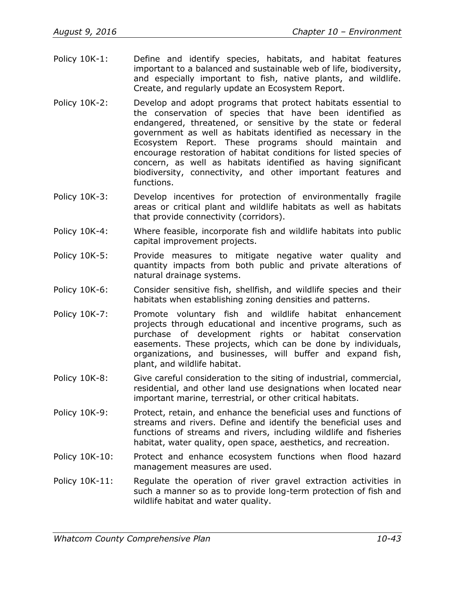- Policy 10K-1: Define and identify species, habitats, and habitat features important to a balanced and sustainable web of life, biodiversity, and especially important to fish, native plants, and wildlife. Create, and regularly update an Ecosystem Report.
- Policy 10K-2: Develop and adopt programs that protect habitats essential to the conservation of species that have been identified as endangered, threatened, or sensitive by the state or federal government as well as habitats identified as necessary in the Ecosystem Report. These programs should maintain and encourage restoration of habitat conditions for listed species of concern, as well as habitats identified as having significant biodiversity, connectivity, and other important features and functions.
- Policy 10K-3: Develop incentives for protection of environmentally fragile areas or critical plant and wildlife habitats as well as habitats that provide connectivity (corridors).
- Policy 10K-4: Where feasible, incorporate fish and wildlife habitats into public capital improvement projects.
- Policy 10K-5: Provide measures to mitigate negative water quality and quantity impacts from both public and private alterations of natural drainage systems.
- Policy 10K-6: Consider sensitive fish, shellfish, and wildlife species and their habitats when establishing zoning densities and patterns.
- Policy 10K-7: Promote voluntary fish and wildlife habitat enhancement projects through educational and incentive programs, such as purchase of development rights or habitat conservation easements. These projects, which can be done by individuals, organizations, and businesses, will buffer and expand fish, plant, and wildlife habitat.
- Policy 10K-8: Give careful consideration to the siting of industrial, commercial, residential, and other land use designations when located near important marine, terrestrial, or other critical habitats.
- Policy 10K-9: Protect, retain, and enhance the beneficial uses and functions of streams and rivers. Define and identify the beneficial uses and functions of streams and rivers, including wildlife and fisheries habitat, water quality, open space, aesthetics, and recreation.
- Policy 10K-10: Protect and enhance ecosystem functions when flood hazard management measures are used.
- Policy 10K-11: Regulate the operation of river gravel extraction activities in such a manner so as to provide long-term protection of fish and wildlife habitat and water quality.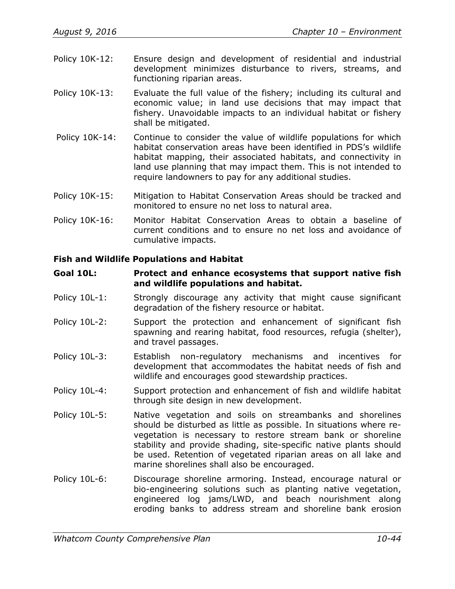- Policy 10K-12: Ensure design and development of residential and industrial development minimizes disturbance to rivers, streams, and functioning riparian areas.
- Policy 10K-13: Evaluate the full value of the fishery; including its cultural and economic value; in land use decisions that may impact that fishery. Unavoidable impacts to an individual habitat or fishery shall be mitigated.
- Policy 10K-14: Continue to consider the value of wildlife populations for which habitat conservation areas have been identified in PDS's wildlife habitat mapping, their associated habitats, and connectivity in land use planning that may impact them. This is not intended to require landowners to pay for any additional studies.
- Policy 10K-15: Mitigation to Habitat Conservation Areas should be tracked and monitored to ensure no net loss to natural area.
- Policy 10K-16: Monitor Habitat Conservation Areas to obtain a baseline of current conditions and to ensure no net loss and avoidance of cumulative impacts.

#### **Fish and Wildlife Populations and Habitat**

#### **Goal 10L: Protect and enhance ecosystems that support native fish and wildlife populations and habitat.**

- Policy 10L-1: Strongly discourage any activity that might cause significant degradation of the fishery resource or habitat.
- Policy 10L-2: Support the protection and enhancement of significant fish spawning and rearing habitat, food resources, refugia (shelter), and travel passages.
- Policy 10L-3: Establish non-regulatory mechanisms and incentives for development that accommodates the habitat needs of fish and wildlife and encourages good stewardship practices.
- Policy 10L-4: Support protection and enhancement of fish and wildlife habitat through site design in new development.
- Policy 10L-5: Native vegetation and soils on streambanks and shorelines should be disturbed as little as possible. In situations where revegetation is necessary to restore stream bank or shoreline stability and provide shading, site-specific native plants should be used. Retention of vegetated riparian areas on all lake and marine shorelines shall also be encouraged.
- Policy 10L-6: Discourage shoreline armoring. Instead, encourage natural or bio-engineering solutions such as planting native vegetation, engineered log jams/LWD, and beach nourishment along eroding banks to address stream and shoreline bank erosion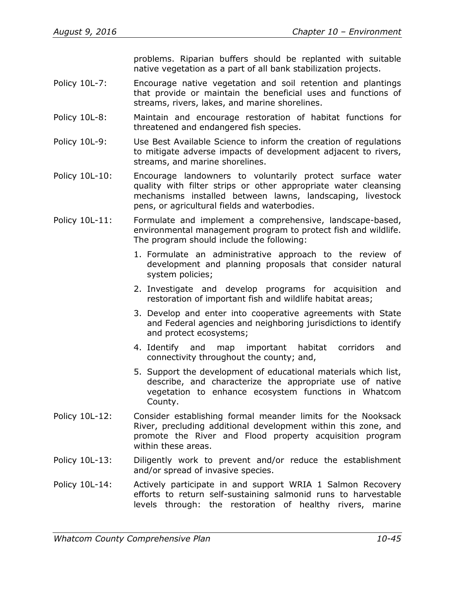problems. Riparian buffers should be replanted with suitable native vegetation as a part of all bank stabilization projects.

- Policy 10L-7: Encourage native vegetation and soil retention and plantings that provide or maintain the beneficial uses and functions of streams, rivers, lakes, and marine shorelines.
- Policy 10L-8: Maintain and encourage restoration of habitat functions for threatened and endangered fish species.
- Policy 10L-9: Use Best Available Science to inform the creation of regulations to mitigate adverse impacts of development adjacent to rivers, streams, and marine shorelines.
- Policy 10L-10: Encourage landowners to voluntarily protect surface water quality with filter strips or other appropriate water cleansing mechanisms installed between lawns, landscaping, livestock pens, or agricultural fields and waterbodies.
- Policy 10L-11: Formulate and implement a comprehensive, landscape-based, environmental management program to protect fish and wildlife. The program should include the following:
	- 1. Formulate an administrative approach to the review of development and planning proposals that consider natural system policies;
	- 2. Investigate and develop programs for acquisition and restoration of important fish and wildlife habitat areas;
	- 3. Develop and enter into cooperative agreements with State and Federal agencies and neighboring jurisdictions to identify and protect ecosystems;
	- 4. Identify and map important habitat corridors and connectivity throughout the county; and,
	- 5. Support the development of educational materials which list, describe, and characterize the appropriate use of native vegetation to enhance ecosystem functions in Whatcom County.
- Policy 10L-12: Consider establishing formal meander limits for the Nooksack River, precluding additional development within this zone, and promote the River and Flood property acquisition program within these areas.
- Policy 10L-13: Diligently work to prevent and/or reduce the establishment and/or spread of invasive species.
- Policy 10L-14: Actively participate in and support WRIA 1 Salmon Recovery efforts to return self-sustaining salmonid runs to harvestable levels through: the restoration of healthy rivers, marine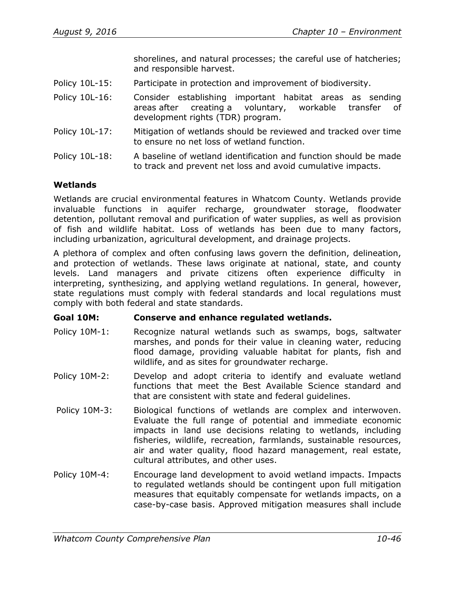shorelines, and natural processes; the careful use of hatcheries; and responsible harvest.

- Policy 10L-15: Participate in protection and improvement of biodiversity.
- Policy 10L-16: Consider establishing important habitat areas as sending areas after creating a voluntary, workable transfer of development rights (TDR) program.
- Policy 10L-17: Mitigation of wetlands should be reviewed and tracked over time to ensure no net loss of wetland function.
- Policy 10L-18: A baseline of wetland identification and function should be made to track and prevent net loss and avoid cumulative impacts.

## **Wetlands**

Wetlands are crucial environmental features in Whatcom County. Wetlands provide invaluable functions in aquifer recharge, groundwater storage, floodwater detention, pollutant removal and purification of water supplies, as well as provision of fish and wildlife habitat. Loss of wetlands has been due to many factors, including urbanization, agricultural development, and drainage projects.

A plethora of complex and often confusing laws govern the definition, delineation, and protection of wetlands. These laws originate at national, state, and county levels. Land managers and private citizens often experience difficulty in interpreting, synthesizing, and applying wetland regulations. In general, however, state regulations must comply with federal standards and local regulations must comply with both federal and state standards.

## **Goal 10M: Conserve and enhance regulated wetlands.**

- Policy 10M-1: Recognize natural wetlands such as swamps, bogs, saltwater marshes, and ponds for their value in cleaning water, reducing flood damage, providing valuable habitat for plants, fish and wildlife, and as sites for groundwater recharge.
- Policy 10M-2: Develop and adopt criteria to identify and evaluate wetland functions that meet the Best Available Science standard and that are consistent with state and federal guidelines.
- Policy 10M-3: Biological functions of wetlands are complex and interwoven. Evaluate the full range of potential and immediate economic impacts in land use decisions relating to wetlands, including fisheries, wildlife, recreation, farmlands, sustainable resources, air and water quality, flood hazard management, real estate, cultural attributes, and other uses.
- Policy 10M-4: Encourage land development to avoid wetland impacts. Impacts to regulated wetlands should be contingent upon full mitigation measures that equitably compensate for wetlands impacts, on a case-by-case basis. Approved mitigation measures shall include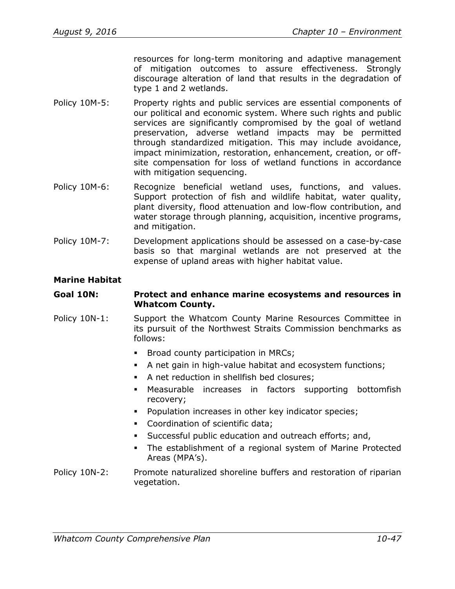resources for long-term monitoring and adaptive management of mitigation outcomes to assure effectiveness. Strongly discourage alteration of land that results in the degradation of type 1 and 2 wetlands.

- Policy 10M-5: Property rights and public services are essential components of our political and economic system. Where such rights and public services are significantly compromised by the goal of wetland preservation, adverse wetland impacts may be permitted through standardized mitigation. This may include avoidance, impact minimization, restoration, enhancement, creation, or offsite compensation for loss of wetland functions in accordance with mitigation sequencing.
- Policy 10M-6: Recognize beneficial wetland uses, functions, and values. Support protection of fish and wildlife habitat, water quality, plant diversity, flood attenuation and low-flow contribution, and water storage through planning, acquisition, incentive programs, and mitigation.
- Policy 10M-7: Development applications should be assessed on a case-by-case basis so that marginal wetlands are not preserved at the expense of upland areas with higher habitat value.

## **Marine Habitat**

### **Goal 10N: Protect and enhance marine ecosystems and resources in Whatcom County.**

- Policy 10N-1: Support the Whatcom County Marine Resources Committee in its pursuit of the Northwest Straits Commission benchmarks as follows:
	- **Broad county participation in MRCs;**
	- A net gain in high-value habitat and ecosystem functions;
	- A net reduction in shellfish bed closures;
	- Measurable increases in factors supporting bottomfish recovery;
	- **Population increases in other key indicator species;**
	- Coordination of scientific data;
	- Successful public education and outreach efforts; and,
	- The establishment of a regional system of Marine Protected Areas (MPA's).
- Policy 10N-2: Promote naturalized shoreline buffers and restoration of riparian vegetation.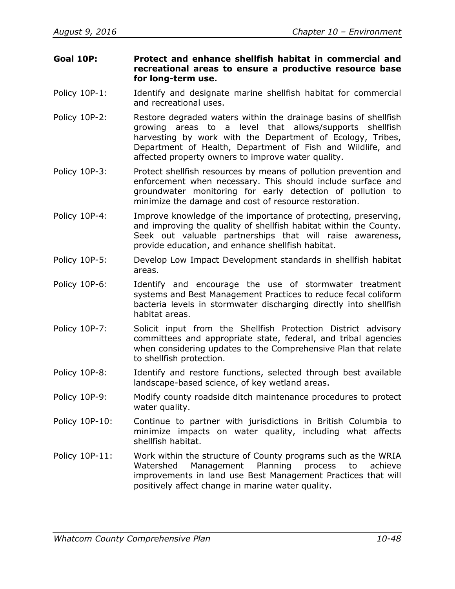- **Goal 10P: Protect and enhance shellfish habitat in commercial and recreational areas to ensure a productive resource base for long-term use.**
- Policy 10P-1: Identify and designate marine shellfish habitat for commercial and recreational uses.
- Policy 10P-2: Restore degraded waters within the drainage basins of shellfish growing areas to a level that allows/supports shellfish harvesting by work with the Department of Ecology, Tribes, Department of Health, Department of Fish and Wildlife, and affected property owners to improve water quality.
- Policy 10P-3: Protect shellfish resources by means of pollution prevention and enforcement when necessary. This should include surface and groundwater monitoring for early detection of pollution to minimize the damage and cost of resource restoration.
- Policy 10P-4: Improve knowledge of the importance of protecting, preserving, and improving the quality of shellfish habitat within the County. Seek out valuable partnerships that will raise awareness, provide education, and enhance shellfish habitat.
- Policy 10P-5: Develop Low Impact Development standards in shellfish habitat areas.
- Policy 10P-6: Identify and encourage the use of stormwater treatment systems and Best Management Practices to reduce fecal coliform bacteria levels in stormwater discharging directly into shellfish habitat areas.
- Policy 10P-7: Solicit input from the Shellfish Protection District advisory committees and appropriate state, federal, and tribal agencies when considering updates to the Comprehensive Plan that relate to shellfish protection.
- Policy 10P-8: Identify and restore functions, selected through best available landscape-based science, of key wetland areas.
- Policy 10P-9: Modify county roadside ditch maintenance procedures to protect water quality.
- Policy 10P-10: Continue to partner with jurisdictions in British Columbia to minimize impacts on water quality, including what affects shellfish habitat.
- Policy 10P-11: Work within the structure of County programs such as the WRIA Watershed Management Planning process to achieve improvements in land use Best Management Practices that will positively affect change in marine water quality.